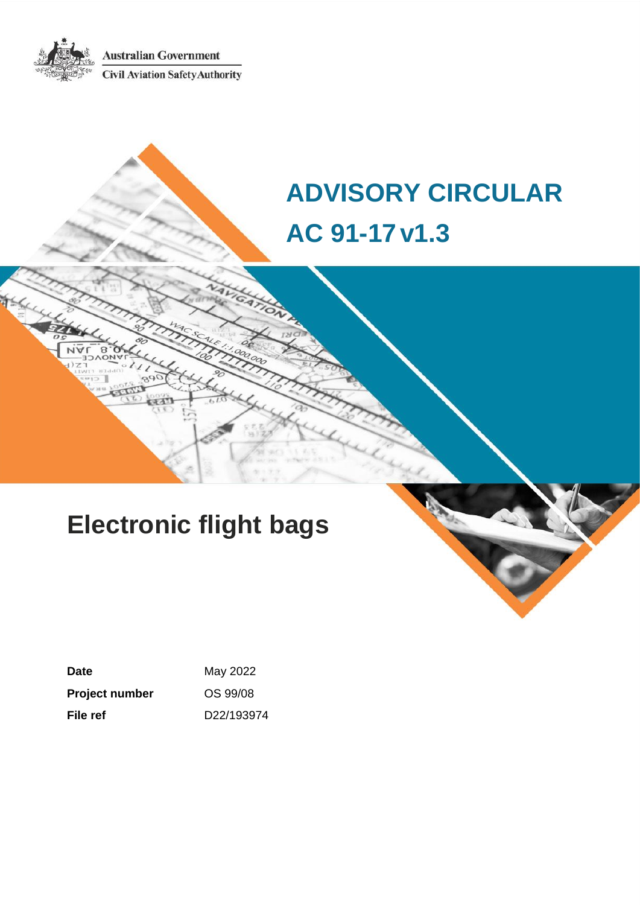**Australian Government Civil Aviation Safety Authority** 

# **ADVISORY CIRCULAR AC 91-17v1.3**

# **Electronic flight bags**

| Date           | May 2022   |
|----------------|------------|
| Project number | OS 99/08   |
| File ref       | D22/193974 |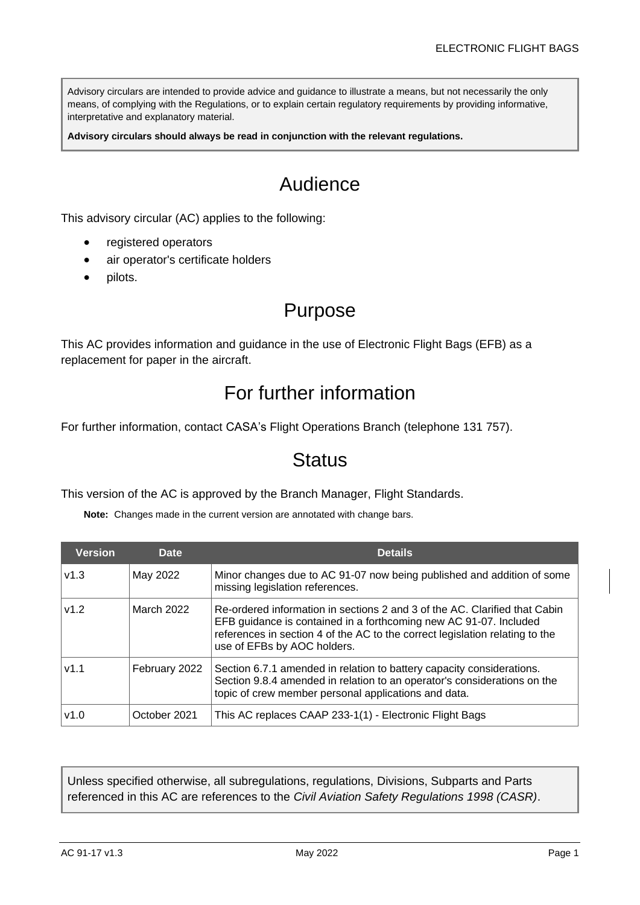Advisory circulars are intended to provide advice and guidance to illustrate a means, but not necessarily the only means, of complying with the Regulations, or to explain certain regulatory requirements by providing informative, interpretative and explanatory material.

**Advisory circulars should always be read in conjunction with the relevant regulations.**

## Audience

This advisory circular (AC) applies to the following:

- registered operators
- air operator's certificate holders
- pilots.

### Purpose

This AC provides information and guidance in the use of Electronic Flight Bags (EFB) as a replacement for paper in the aircraft.

## For further information

For further information, contact CASA's Flight Operations Branch (telephone 131 757).

### **Status**

This version of the AC is approved by the Branch Manager, Flight Standards.

**Note:** Changes made in the current version are annotated with change bars.

| <b>Version</b> | <b>Date</b>   | <b>Details</b>                                                                                                                                                                                                                                                 |
|----------------|---------------|----------------------------------------------------------------------------------------------------------------------------------------------------------------------------------------------------------------------------------------------------------------|
| v1.3           | May 2022      | Minor changes due to AC 91-07 now being published and addition of some<br>missing legislation references.                                                                                                                                                      |
| v1.2           | March 2022    | Re-ordered information in sections 2 and 3 of the AC. Clarified that Cabin<br>EFB guidance is contained in a forthcoming new AC 91-07. Included<br>references in section 4 of the AC to the correct legislation relating to the<br>use of EFBs by AOC holders. |
| v1.1           | February 2022 | Section 6.7.1 amended in relation to battery capacity considerations.<br>Section 9.8.4 amended in relation to an operator's considerations on the<br>topic of crew member personal applications and data.                                                      |
| v1.0           | October 2021  | This AC replaces CAAP 233-1(1) - Electronic Flight Bags                                                                                                                                                                                                        |

Unless specified otherwise, all subregulations, regulations, Divisions, Subparts and Parts referenced in this AC are references to the *Civil Aviation Safety Regulations 1998 (CASR)*.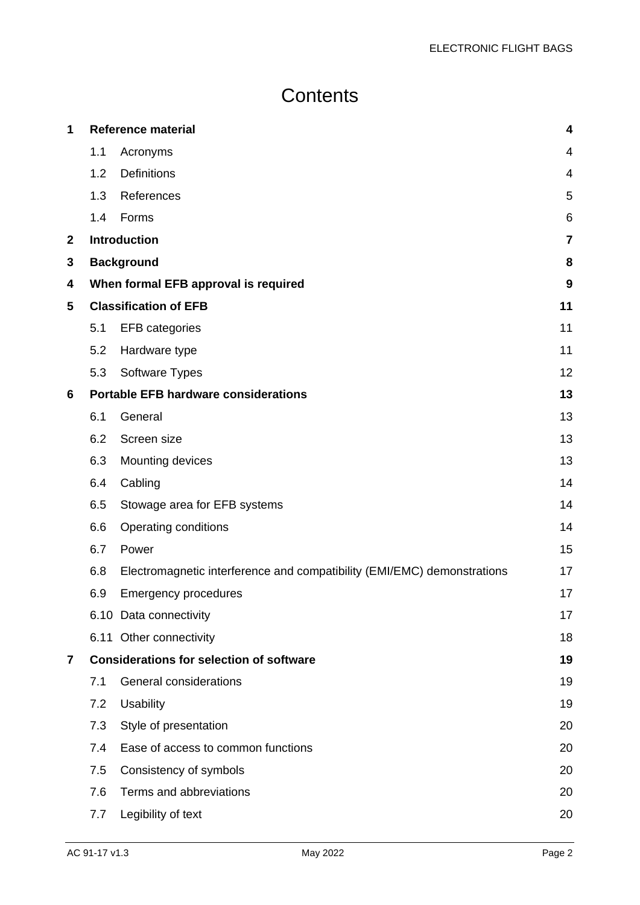## **Contents**

| 1            |     | <b>Reference material</b>                                               | 4              |
|--------------|-----|-------------------------------------------------------------------------|----------------|
|              | 1.1 | Acronyms                                                                | 4              |
|              | 1.2 | <b>Definitions</b>                                                      | $\overline{4}$ |
|              | 1.3 | References                                                              | 5              |
|              | 1.4 | Forms                                                                   | 6              |
| $\mathbf{2}$ |     | <b>Introduction</b>                                                     | $\overline{7}$ |
| 3            |     | <b>Background</b>                                                       | 8              |
| 4            |     | When formal EFB approval is required                                    | 9              |
| 5            |     | <b>Classification of EFB</b>                                            | 11             |
|              | 5.1 | <b>EFB</b> categories                                                   | 11             |
|              | 5.2 | Hardware type                                                           | 11             |
|              | 5.3 | Software Types                                                          | 12             |
| 6            |     | <b>Portable EFB hardware considerations</b>                             | 13             |
|              | 6.1 | General                                                                 | 13             |
|              | 6.2 | Screen size                                                             | 13             |
|              | 6.3 | Mounting devices                                                        | 13             |
|              | 6.4 | Cabling                                                                 | 14             |
|              | 6.5 | Stowage area for EFB systems                                            | 14             |
|              | 6.6 | <b>Operating conditions</b>                                             | 14             |
|              | 6.7 | Power                                                                   | 15             |
|              | 6.8 | Electromagnetic interference and compatibility (EMI/EMC) demonstrations | 17             |
|              | 6.9 | <b>Emergency procedures</b>                                             | 17             |
|              |     | 6.10 Data connectivity                                                  | 17             |
|              |     | 6.11 Other connectivity                                                 | 18             |
| 7            |     | <b>Considerations for selection of software</b>                         | 19             |
|              | 7.1 | General considerations                                                  | 19             |
|              | 7.2 | <b>Usability</b>                                                        | 19             |
|              | 7.3 | Style of presentation                                                   | 20             |
|              | 7.4 | Ease of access to common functions                                      | 20             |
|              | 7.5 | Consistency of symbols                                                  | 20             |
|              | 7.6 | Terms and abbreviations                                                 | 20             |
|              | 7.7 | Legibility of text                                                      | 20             |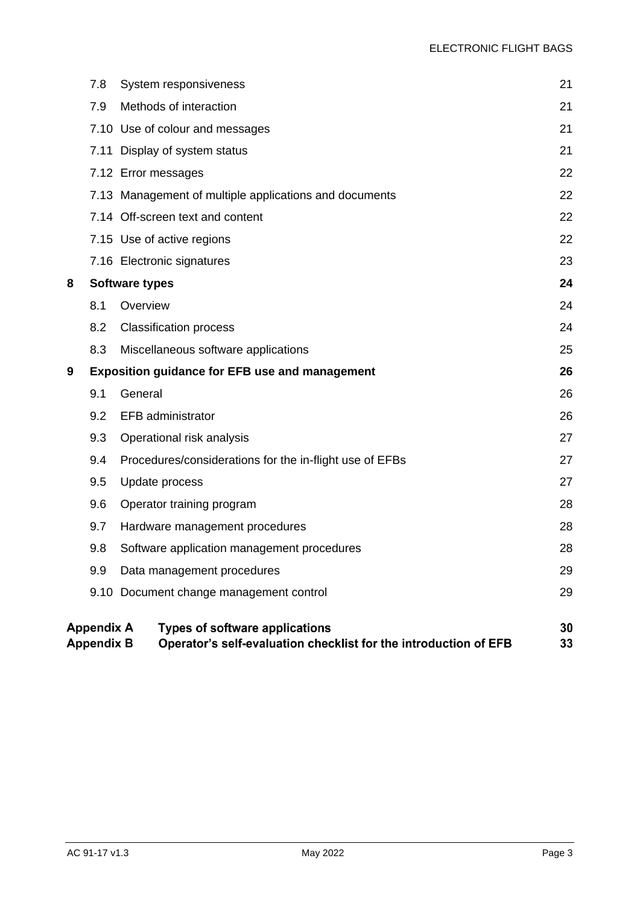|   | 7.8                                    | System responsiveness                                                                                     | 21       |
|---|----------------------------------------|-----------------------------------------------------------------------------------------------------------|----------|
|   | 7.9                                    | Methods of interaction                                                                                    | 21       |
|   |                                        | 7.10 Use of colour and messages                                                                           | 21       |
|   | 7.11                                   | Display of system status                                                                                  | 21       |
|   |                                        | 7.12 Error messages                                                                                       | 22       |
|   |                                        | 7.13 Management of multiple applications and documents                                                    | 22       |
|   |                                        | 7.14 Off-screen text and content                                                                          | 22       |
|   |                                        | 7.15 Use of active regions                                                                                | 22       |
|   |                                        | 7.16 Electronic signatures                                                                                | 23       |
| 8 |                                        | <b>Software types</b>                                                                                     | 24       |
|   | 8.1                                    | Overview                                                                                                  | 24       |
|   | 8.2                                    | <b>Classification process</b>                                                                             | 24       |
|   | 8.3                                    | Miscellaneous software applications                                                                       | 25       |
| 9 |                                        | <b>Exposition guidance for EFB use and management</b>                                                     | 26       |
|   | 9.1                                    | General                                                                                                   | 26       |
|   | 9.2                                    | <b>EFB</b> administrator                                                                                  | 26       |
|   | 9.3                                    | Operational risk analysis                                                                                 | 27       |
|   | 9.4                                    | Procedures/considerations for the in-flight use of EFBs                                                   | 27       |
|   | 9.5                                    | Update process                                                                                            | 27       |
|   | 9.6                                    | Operator training program                                                                                 | 28       |
|   | 9.7                                    | Hardware management procedures                                                                            | 28       |
|   | 9.8                                    | Software application management procedures                                                                | 28       |
|   | 9.9                                    | Data management procedures                                                                                | 29       |
|   |                                        | 9.10 Document change management control                                                                   | 29       |
|   | <b>Appendix A</b><br><b>Appendix B</b> | <b>Types of software applications</b><br>Operator's self-evaluation checklist for the introduction of EFB | 30<br>33 |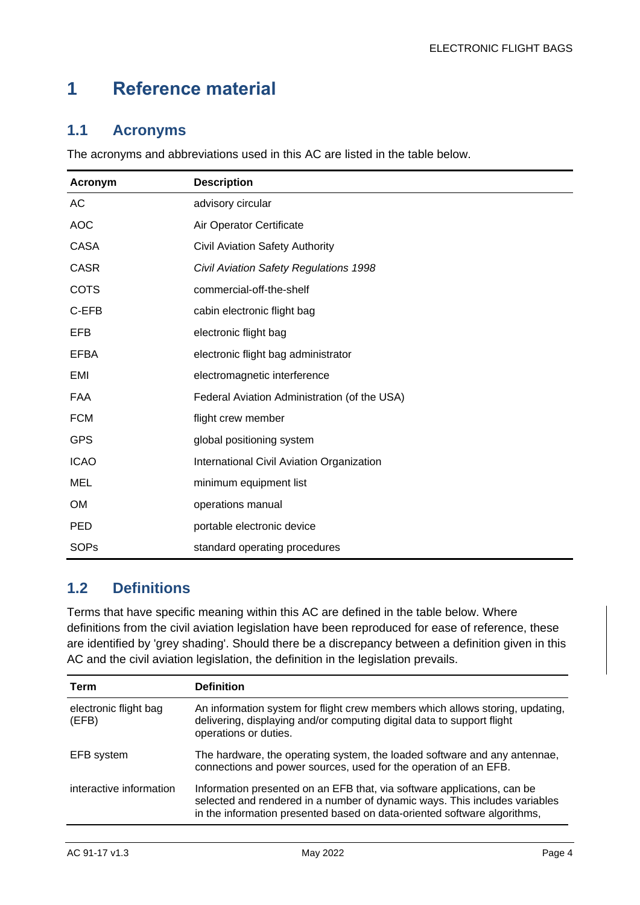## <span id="page-4-0"></span>**1 Reference material**

#### <span id="page-4-1"></span>**1.1 Acronyms**

The acronyms and abbreviations used in this AC are listed in the table below.

| Acronym     | <b>Description</b>                           |
|-------------|----------------------------------------------|
| AC          | advisory circular                            |
| <b>AOC</b>  | Air Operator Certificate                     |
| <b>CASA</b> | <b>Civil Aviation Safety Authority</b>       |
| <b>CASR</b> | Civil Aviation Safety Regulations 1998       |
| <b>COTS</b> | commercial-off-the-shelf                     |
| C-EFB       | cabin electronic flight bag                  |
| <b>EFB</b>  | electronic flight bag                        |
| <b>EFBA</b> | electronic flight bag administrator          |
| EMI         | electromagnetic interference                 |
| FAA         | Federal Aviation Administration (of the USA) |
| <b>FCM</b>  | flight crew member                           |
| <b>GPS</b>  | global positioning system                    |
| <b>ICAO</b> | International Civil Aviation Organization    |
| <b>MEL</b>  | minimum equipment list                       |
| <b>OM</b>   | operations manual                            |
| <b>PED</b>  | portable electronic device                   |
| <b>SOPs</b> | standard operating procedures                |

#### <span id="page-4-2"></span>**1.2 Definitions**

Terms that have specific meaning within this AC are defined in the table below. Where definitions from the civil aviation legislation have been reproduced for ease of reference, these are identified by 'grey shading'. Should there be a discrepancy between a definition given in this AC and the civil aviation legislation, the definition in the legislation prevails.

| Term                           | <b>Definition</b>                                                                                                                                                                                                                 |
|--------------------------------|-----------------------------------------------------------------------------------------------------------------------------------------------------------------------------------------------------------------------------------|
| electronic flight bag<br>(EFB) | An information system for flight crew members which allows storing, updating,<br>delivering, displaying and/or computing digital data to support flight<br>operations or duties.                                                  |
| EFB system                     | The hardware, the operating system, the loaded software and any antennae,<br>connections and power sources, used for the operation of an EFB.                                                                                     |
| interactive information        | Information presented on an EFB that, via software applications, can be<br>selected and rendered in a number of dynamic ways. This includes variables<br>in the information presented based on data-oriented software algorithms, |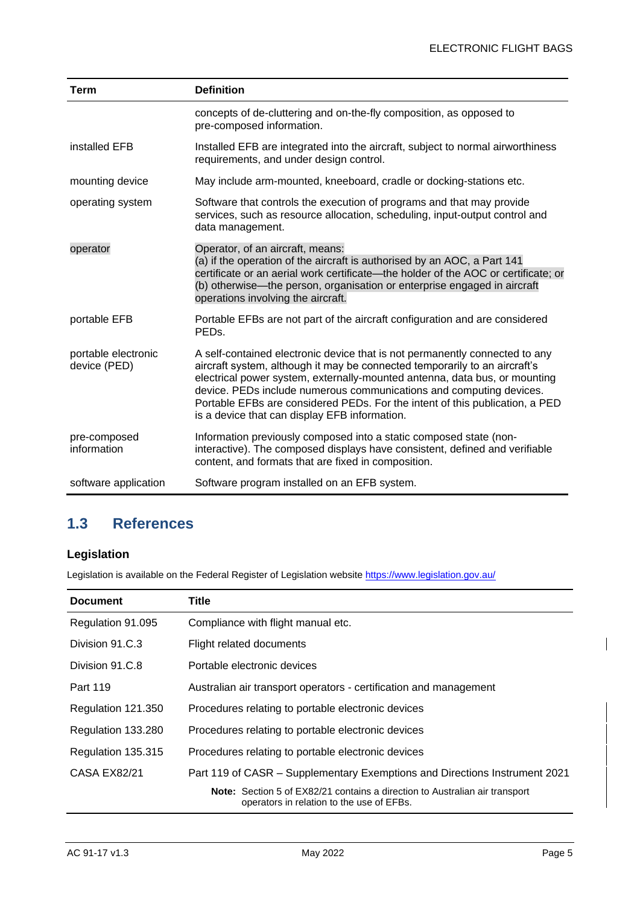| Term                                | <b>Definition</b>                                                                                                                                                                                                                                                                                                                                                                                                                               |
|-------------------------------------|-------------------------------------------------------------------------------------------------------------------------------------------------------------------------------------------------------------------------------------------------------------------------------------------------------------------------------------------------------------------------------------------------------------------------------------------------|
|                                     | concepts of de-cluttering and on-the-fly composition, as opposed to<br>pre-composed information.                                                                                                                                                                                                                                                                                                                                                |
| installed EFB                       | Installed EFB are integrated into the aircraft, subject to normal airworthiness<br>requirements, and under design control.                                                                                                                                                                                                                                                                                                                      |
| mounting device                     | May include arm-mounted, kneeboard, cradle or docking-stations etc.                                                                                                                                                                                                                                                                                                                                                                             |
| operating system                    | Software that controls the execution of programs and that may provide<br>services, such as resource allocation, scheduling, input-output control and<br>data management.                                                                                                                                                                                                                                                                        |
| operator                            | Operator, of an aircraft, means:<br>(a) if the operation of the aircraft is authorised by an AOC, a Part 141<br>certificate or an aerial work certificate—the holder of the AOC or certificate; or<br>(b) otherwise—the person, organisation or enterprise engaged in aircraft<br>operations involving the aircraft.                                                                                                                            |
| portable EFB                        | Portable EFBs are not part of the aircraft configuration and are considered<br>PED <sub>s</sub> .                                                                                                                                                                                                                                                                                                                                               |
| portable electronic<br>device (PED) | A self-contained electronic device that is not permanently connected to any<br>aircraft system, although it may be connected temporarily to an aircraft's<br>electrical power system, externally-mounted antenna, data bus, or mounting<br>device. PEDs include numerous communications and computing devices.<br>Portable EFBs are considered PEDs. For the intent of this publication, a PED<br>is a device that can display EFB information. |
| pre-composed<br>information         | Information previously composed into a static composed state (non-<br>interactive). The composed displays have consistent, defined and verifiable<br>content, and formats that are fixed in composition.                                                                                                                                                                                                                                        |
| software application                | Software program installed on an EFB system.                                                                                                                                                                                                                                                                                                                                                                                                    |

#### <span id="page-5-0"></span>**1.3 References**

### **Legislation**

Legislation is available on the Federal Register of Legislation website<https://www.legislation.gov.au/>

| <b>Document</b>     | Title                                                                                                                           |
|---------------------|---------------------------------------------------------------------------------------------------------------------------------|
| Regulation 91.095   | Compliance with flight manual etc.                                                                                              |
| Division 91.C.3     | Flight related documents                                                                                                        |
| Division 91.C.8     | Portable electronic devices                                                                                                     |
| Part 119            | Australian air transport operators - certification and management                                                               |
| Regulation 121.350  | Procedures relating to portable electronic devices                                                                              |
| Regulation 133.280  | Procedures relating to portable electronic devices                                                                              |
| Regulation 135.315  | Procedures relating to portable electronic devices                                                                              |
| <b>CASA EX82/21</b> | Part 119 of CASR - Supplementary Exemptions and Directions Instrument 2021                                                      |
|                     | <b>Note:</b> Section 5 of EX82/21 contains a direction to Australian air transport<br>operators in relation to the use of EFBs. |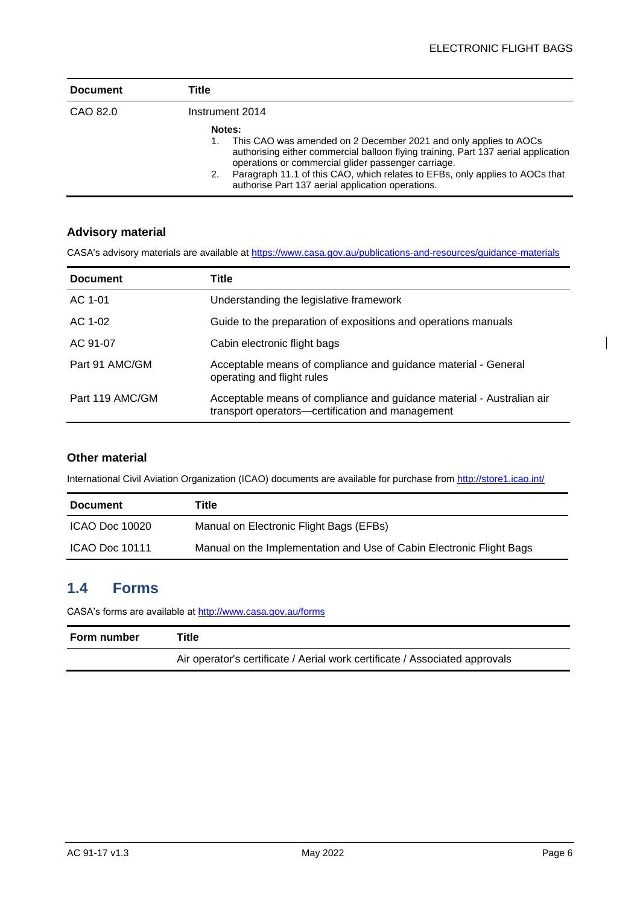| <b>Document</b> | Title                                                                                                                                                                                                                                                                                                                                                              |
|-----------------|--------------------------------------------------------------------------------------------------------------------------------------------------------------------------------------------------------------------------------------------------------------------------------------------------------------------------------------------------------------------|
| CAO 82.0        | Instrument 2014                                                                                                                                                                                                                                                                                                                                                    |
|                 | Notes:<br>This CAO was amended on 2 December 2021 and only applies to AOCs<br>authorising either commercial balloon flying training, Part 137 aerial application<br>operations or commercial glider passenger carriage.<br>Paragraph 11.1 of this CAO, which relates to EFBs, only applies to AOCs that<br>2.<br>authorise Part 137 aerial application operations. |

#### **Advisory material**

CASA's advisory materials are available at<https://www.casa.gov.au/publications-and-resources/guidance-materials>

| <b>Document</b> | Title                                                                                                                     |
|-----------------|---------------------------------------------------------------------------------------------------------------------------|
| AC 1-01         | Understanding the legislative framework                                                                                   |
| AC 1-02         | Guide to the preparation of expositions and operations manuals                                                            |
| AC 91-07        | Cabin electronic flight bags                                                                                              |
| Part 91 AMC/GM  | Acceptable means of compliance and guidance material - General<br>operating and flight rules                              |
| Part 119 AMC/GM | Acceptable means of compliance and guidance material - Australian air<br>transport operators—certification and management |

#### **Other material**

International Civil Aviation Organization (ICAO) documents are available for purchase from<http://store1.icao.int/>

| <b>Document</b> | Title                                                                |
|-----------------|----------------------------------------------------------------------|
| ICAO Doc 10020  | Manual on Electronic Flight Bags (EFBs)                              |
| ICAO Doc 10111  | Manual on the Implementation and Use of Cabin Electronic Flight Bags |

#### <span id="page-6-0"></span>**1.4 Forms**

CASA's forms are available at<http://www.casa.gov.au/forms>

| <b>Form number</b> | ™itle                                                                       |
|--------------------|-----------------------------------------------------------------------------|
|                    | Air operator's certificate / Aerial work certificate / Associated approvals |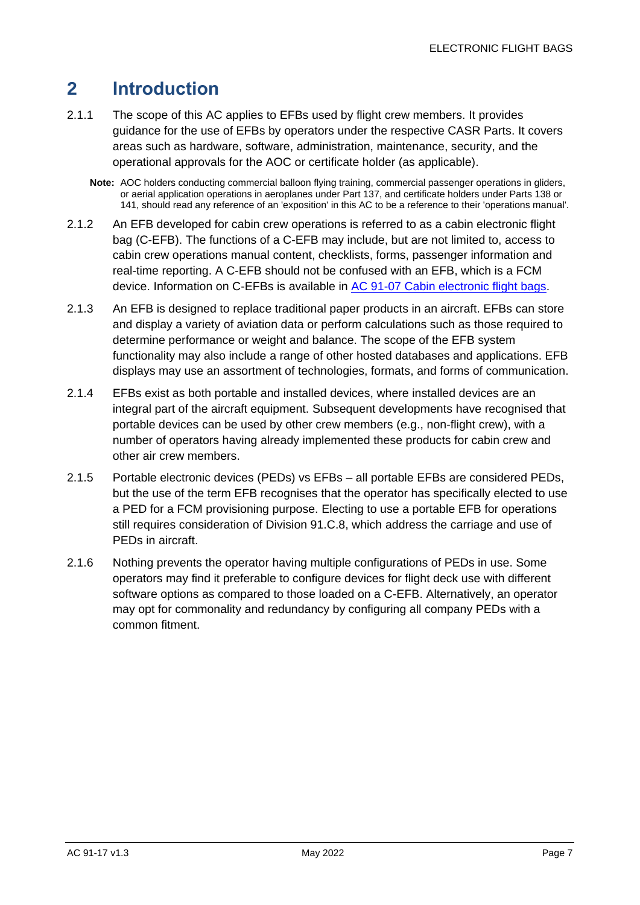## <span id="page-7-0"></span>**2 Introduction**

- 2.1.1 The scope of this AC applies to EFBs used by flight crew members. It provides guidance for the use of EFBs by operators under the respective CASR Parts. It covers areas such as hardware, software, administration, maintenance, security, and the operational approvals for the AOC or certificate holder (as applicable).
	- **Note:** AOC holders conducting commercial balloon flying training, commercial passenger operations in gliders, or aerial application operations in aeroplanes under Part 137, and certificate holders under Parts 138 or 141, should read any reference of an 'exposition' in this AC to be a reference to their 'operations manual'.
- 2.1.2 An EFB developed for cabin crew operations is referred to as a cabin electronic flight bag (C-EFB). The functions of a C-EFB may include, but are not limited to, access to cabin crew operations manual content, checklists, forms, passenger information and real-time reporting. A C-EFB should not be confused with an EFB, which is a FCM device. Information on C-EFBs is available in [AC 91-07 Cabin electronic flight bags.](https://www.casa.gov.au/search-centre/advisory-circulars)
- 2.1.3 An EFB is designed to replace traditional paper products in an aircraft. EFBs can store and display a variety of aviation data or perform calculations such as those required to determine performance or weight and balance. The scope of the EFB system functionality may also include a range of other hosted databases and applications. EFB displays may use an assortment of technologies, formats, and forms of communication.
- 2.1.4 EFBs exist as both portable and installed devices, where installed devices are an integral part of the aircraft equipment. Subsequent developments have recognised that portable devices can be used by other crew members (e.g., non-flight crew), with a number of operators having already implemented these products for cabin crew and other air crew members.
- 2.1.5 Portable electronic devices (PEDs) vs EFBs all portable EFBs are considered PEDs, but the use of the term EFB recognises that the operator has specifically elected to use a PED for a FCM provisioning purpose. Electing to use a portable EFB for operations still requires consideration of Division 91.C.8, which address the carriage and use of PEDs in aircraft.
- 2.1.6 Nothing prevents the operator having multiple configurations of PEDs in use. Some operators may find it preferable to configure devices for flight deck use with different software options as compared to those loaded on a C-EFB. Alternatively, an operator may opt for commonality and redundancy by configuring all company PEDs with a common fitment.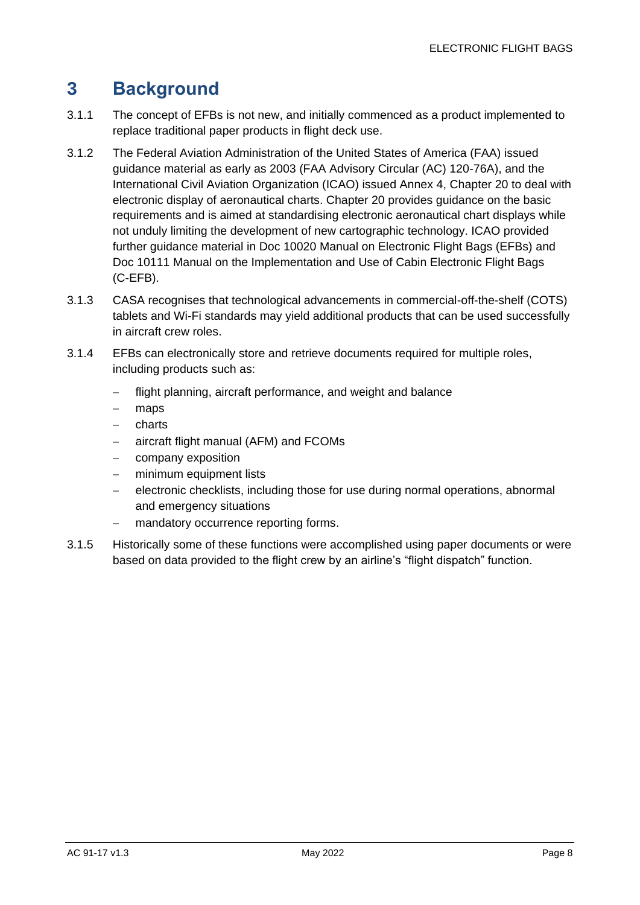## <span id="page-8-0"></span>**3 Background**

- 3.1.1 The concept of EFBs is not new, and initially commenced as a product implemented to replace traditional paper products in flight deck use.
- 3.1.2 The Federal Aviation Administration of the United States of America (FAA) issued guidance material as early as 2003 (FAA Advisory Circular (AC) 120-76A), and the International Civil Aviation Organization (ICAO) issued Annex 4, Chapter 20 to deal with electronic display of aeronautical charts. Chapter 20 provides guidance on the basic requirements and is aimed at standardising electronic aeronautical chart displays while not unduly limiting the development of new cartographic technology. ICAO provided further guidance material in Doc 10020 Manual on Electronic Flight Bags (EFBs) and Doc 10111 Manual on the Implementation and Use of Cabin Electronic Flight Bags (C-EFB).
- 3.1.3 CASA recognises that technological advancements in commercial-off-the-shelf (COTS) tablets and Wi-Fi standards may yield additional products that can be used successfully in aircraft crew roles.
- 3.1.4 EFBs can electronically store and retrieve documents required for multiple roles, including products such as:
	- − flight planning, aircraft performance, and weight and balance
	- − maps
	- − charts
	- − aircraft flight manual (AFM) and FCOMs
	- company exposition
	- − minimum equipment lists
	- − electronic checklists, including those for use during normal operations, abnormal and emergency situations
	- mandatory occurrence reporting forms.
- 3.1.5 Historically some of these functions were accomplished using paper documents or were based on data provided to the flight crew by an airline's "flight dispatch" function.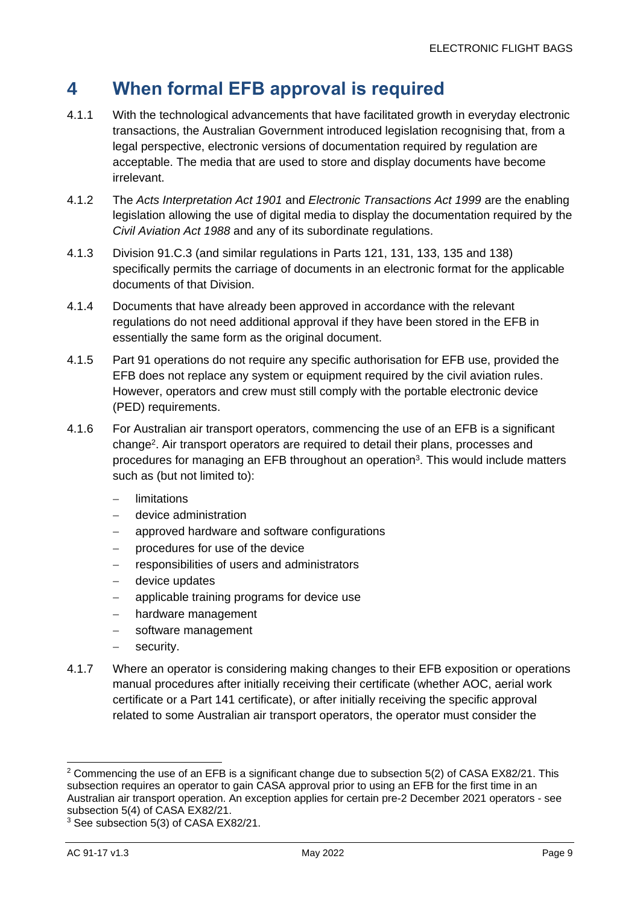## <span id="page-9-0"></span>**4 When formal EFB approval is required**

- 4.1.1 With the technological advancements that have facilitated growth in everyday electronic transactions, the Australian Government introduced legislation recognising that, from a legal perspective, electronic versions of documentation required by regulation are acceptable. The media that are used to store and display documents have become irrelevant.
- 4.1.2 The *Acts Interpretation Act 1901* and *Electronic Transactions Act 1999* are the enabling legislation allowing the use of digital media to display the documentation required by the *Civil Aviation Act 1988* and any of its subordinate regulations.
- 4.1.3 Division 91.C.3 (and similar regulations in Parts 121, 131, 133, 135 and 138) specifically permits the carriage of documents in an electronic format for the applicable documents of that Division.
- 4.1.4 Documents that have already been approved in accordance with the relevant regulations do not need additional approval if they have been stored in the EFB in essentially the same form as the original document.
- 4.1.5 Part 91 operations do not require any specific authorisation for EFB use, provided the EFB does not replace any system or equipment required by the civil aviation rules. However, operators and crew must still comply with the portable electronic device (PED) requirements.
- 4.1.6 For Australian air transport operators, commencing the use of an EFB is a significant change<sup>2</sup> . Air transport operators are required to detail their plans, processes and procedures for managing an EFB throughout an operation<sup>3</sup>. This would include matters such as (but not limited to):
	- − limitations
	- − device administration
	- approved hardware and software configurations
	- − procedures for use of the device
	- − responsibilities of users and administrators
	- − device updates
	- applicable training programs for device use
	- hardware management
	- − software management
	- security.
- 4.1.7 Where an operator is considering making changes to their EFB exposition or operations manual procedures after initially receiving their certificate (whether AOC, aerial work certificate or a Part 141 certificate), or after initially receiving the specific approval related to some Australian air transport operators, the operator must consider the

<sup>&</sup>lt;sup>2</sup> Commencing the use of an EFB is a significant change due to subsection 5(2) of CASA EX82/21. This subsection requires an operator to gain CASA approval prior to using an EFB for the first time in an Australian air transport operation. An exception applies for certain pre-2 December 2021 operators - see subsection 5(4) of CASA EX82/21.

<sup>3</sup> See subsection 5(3) of CASA EX82/21.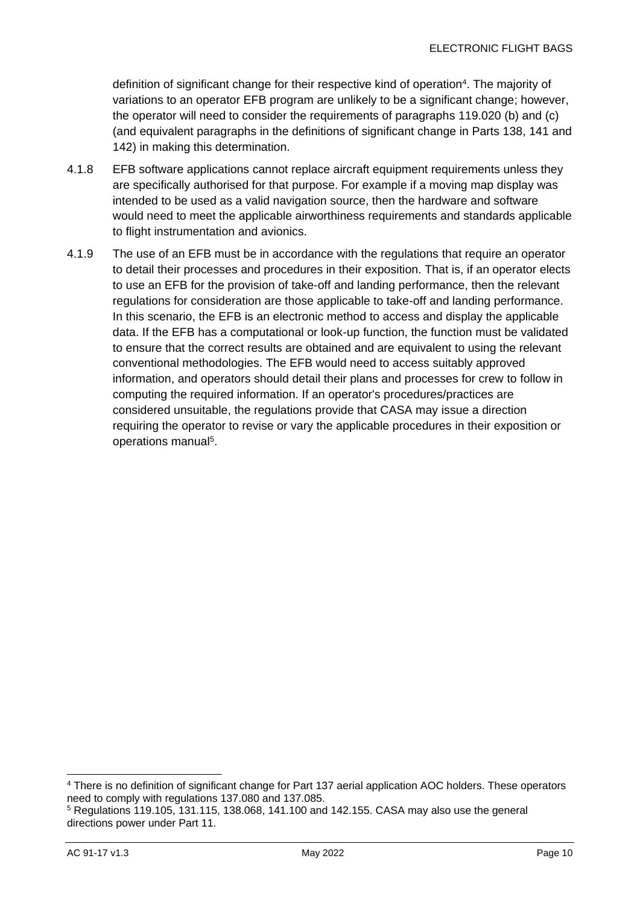definition of significant change for their respective kind of operation<sup>4</sup>. The majority of variations to an operator EFB program are unlikely to be a significant change; however, the operator will need to consider the requirements of paragraphs 119.020 (b) and (c) (and equivalent paragraphs in the definitions of significant change in Parts 138, 141 and 142) in making this determination.

- 4.1.8 EFB software applications cannot replace aircraft equipment requirements unless they are specifically authorised for that purpose. For example if a moving map display was intended to be used as a valid navigation source, then the hardware and software would need to meet the applicable airworthiness requirements and standards applicable to flight instrumentation and avionics.
- 4.1.9 The use of an EFB must be in accordance with the regulations that require an operator to detail their processes and procedures in their exposition. That is, if an operator elects to use an EFB for the provision of take-off and landing performance, then the relevant regulations for consideration are those applicable to take-off and landing performance. In this scenario, the EFB is an electronic method to access and display the applicable data. If the EFB has a computational or look-up function, the function must be validated to ensure that the correct results are obtained and are equivalent to using the relevant conventional methodologies. The EFB would need to access suitably approved information, and operators should detail their plans and processes for crew to follow in computing the required information. If an operator's procedures/practices are considered unsuitable, the regulations provide that CASA may issue a direction requiring the operator to revise or vary the applicable procedures in their exposition or operations manual<sup>5</sup>.

<sup>4</sup> There is no definition of significant change for Part 137 aerial application AOC holders. These operators need to comply with regulations 137.080 and 137.085.

 $5$  Regulations 119.105, 131.115, 138.068, 141.100 and 142.155. CASA may also use the general directions power under Part 11.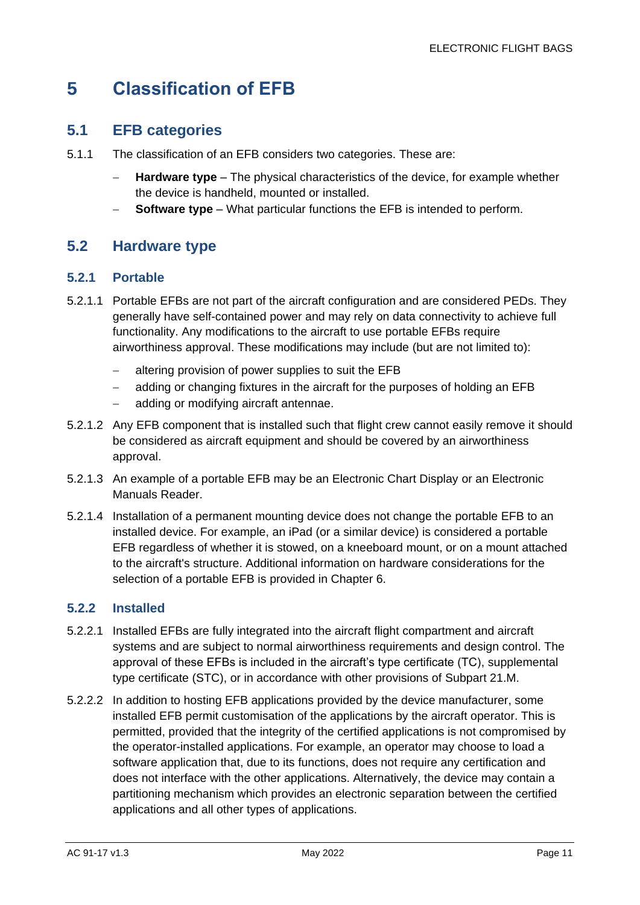## <span id="page-11-0"></span>**5 Classification of EFB**

#### <span id="page-11-1"></span>**5.1 EFB categories**

- 5.1.1 The classification of an EFB considers two categories. These are:
	- − **Hardware type** The physical characteristics of the device, for example whether the device is handheld, mounted or installed.
	- **Software type** What particular functions the EFB is intended to perform.

#### <span id="page-11-2"></span>**5.2 Hardware type**

#### **5.2.1 Portable**

- 5.2.1.1 Portable EFBs are not part of the aircraft configuration and are considered PEDs. They generally have self-contained power and may rely on data connectivity to achieve full functionality. Any modifications to the aircraft to use portable EFBs require airworthiness approval. These modifications may include (but are not limited to):
	- − altering provision of power supplies to suit the EFB
	- adding or changing fixtures in the aircraft for the purposes of holding an EFB
	- − adding or modifying aircraft antennae.
- 5.2.1.2 Any EFB component that is installed such that flight crew cannot easily remove it should be considered as aircraft equipment and should be covered by an airworthiness approval.
- 5.2.1.3 An example of a portable EFB may be an Electronic Chart Display or an Electronic Manuals Reader.
- 5.2.1.4 Installation of a permanent mounting device does not change the portable EFB to an installed device. For example, an iPad (or a similar device) is considered a portable EFB regardless of whether it is stowed, on a kneeboard mount, or on a mount attached to the aircraft's structure. Additional information on hardware considerations for the selection of a portable EFB is provided in Chapter [6.](#page-13-0)

#### **5.2.2 Installed**

- 5.2.2.1 Installed EFBs are fully integrated into the aircraft flight compartment and aircraft systems and are subject to normal airworthiness requirements and design control. The approval of these EFBs is included in the aircraft's type certificate (TC), supplemental type certificate (STC), or in accordance with other provisions of Subpart 21.M.
- 5.2.2.2 In addition to hosting EFB applications provided by the device manufacturer, some installed EFB permit customisation of the applications by the aircraft operator. This is permitted, provided that the integrity of the certified applications is not compromised by the operator-installed applications. For example, an operator may choose to load a software application that, due to its functions, does not require any certification and does not interface with the other applications. Alternatively, the device may contain a partitioning mechanism which provides an electronic separation between the certified applications and all other types of applications.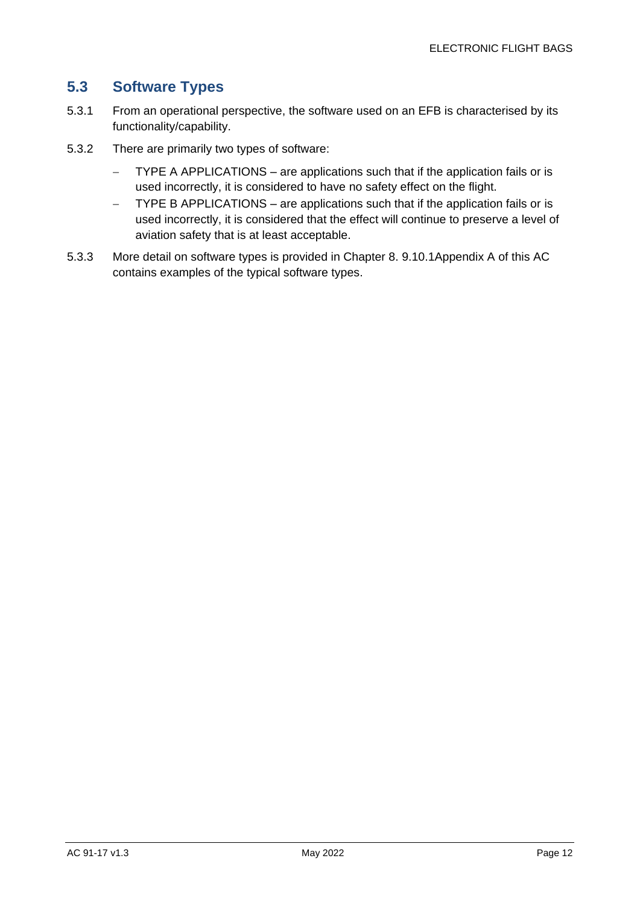#### <span id="page-12-0"></span>**5.3 Software Types**

- 5.3.1 From an operational perspective, the software used on an EFB is characterised by its functionality/capability.
- 5.3.2 There are primarily two types of software:
	- − TYPE A APPLICATIONS are applications such that if the application fails or is used incorrectly, it is considered to have no safety effect on the flight.
	- − TYPE B APPLICATIONS are applications such that if the application fails or is used incorrectly, it is considered that the effect will continue to preserve a level of aviation safety that is at least acceptable.
- 5.3.3 More detail on software types is provided in Chapter [8.](#page-24-0) [9.10.1Appendix A](#page-30-0) of this AC contains examples of the typical software types.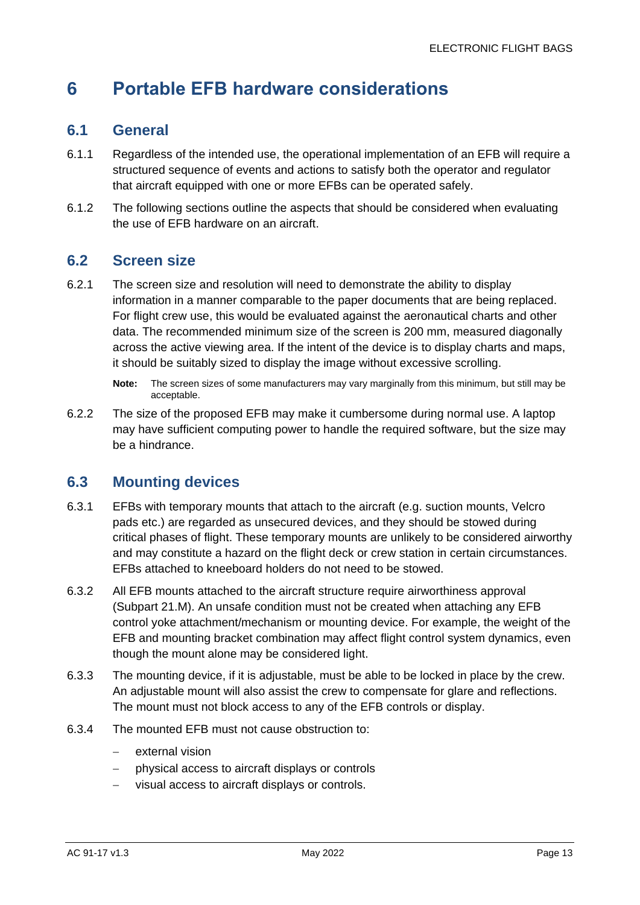## <span id="page-13-0"></span>**6 Portable EFB hardware considerations**

#### <span id="page-13-1"></span>**6.1 General**

- 6.1.1 Regardless of the intended use, the operational implementation of an EFB will require a structured sequence of events and actions to satisfy both the operator and regulator that aircraft equipped with one or more EFBs can be operated safely.
- 6.1.2 The following sections outline the aspects that should be considered when evaluating the use of EFB hardware on an aircraft.

#### <span id="page-13-2"></span>**6.2 Screen size**

6.2.1 The screen size and resolution will need to demonstrate the ability to display information in a manner comparable to the paper documents that are being replaced. For flight crew use, this would be evaluated against the aeronautical charts and other data. The recommended minimum size of the screen is 200 mm, measured diagonally across the active viewing area. If the intent of the device is to display charts and maps, it should be suitably sized to display the image without excessive scrolling.

6.2.2 The size of the proposed EFB may make it cumbersome during normal use. A laptop may have sufficient computing power to handle the required software, but the size may be a hindrance.

#### <span id="page-13-3"></span>**6.3 Mounting devices**

- 6.3.1 EFBs with temporary mounts that attach to the aircraft (e.g. suction mounts, Velcro pads etc.) are regarded as unsecured devices, and they should be stowed during critical phases of flight. These temporary mounts are unlikely to be considered airworthy and may constitute a hazard on the flight deck or crew station in certain circumstances. EFBs attached to kneeboard holders do not need to be stowed.
- 6.3.2 All EFB mounts attached to the aircraft structure require airworthiness approval (Subpart 21.M). An unsafe condition must not be created when attaching any EFB control yoke attachment/mechanism or mounting device. For example, the weight of the EFB and mounting bracket combination may affect flight control system dynamics, even though the mount alone may be considered light.
- 6.3.3 The mounting device, if it is adjustable, must be able to be locked in place by the crew. An adjustable mount will also assist the crew to compensate for glare and reflections. The mount must not block access to any of the EFB controls or display.
- 6.3.4 The mounted EFB must not cause obstruction to:
	- external vision
	- − physical access to aircraft displays or controls
	- visual access to aircraft displays or controls.

**Note:** The screen sizes of some manufacturers may vary marginally from this minimum, but still may be acceptable.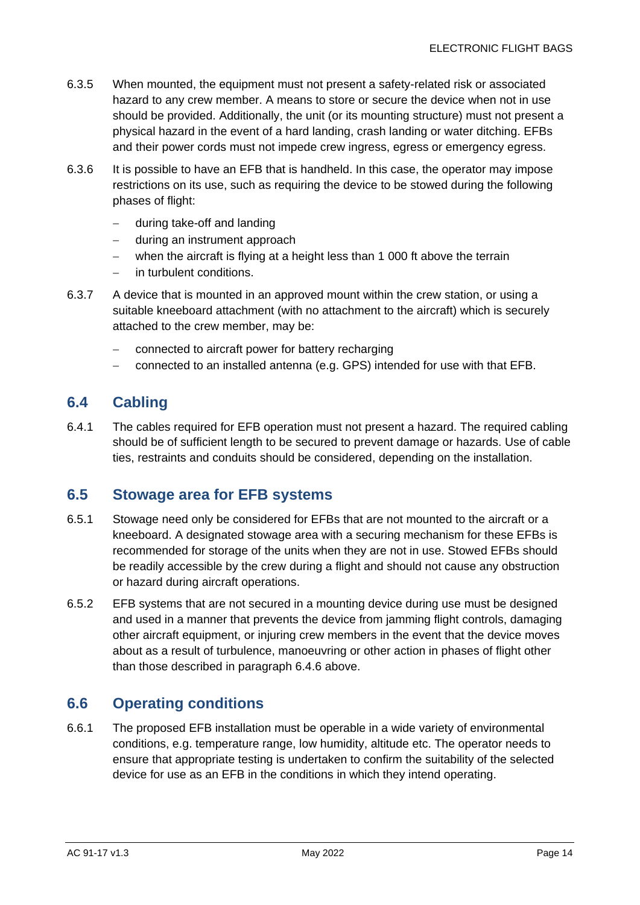- 6.3.5 When mounted, the equipment must not present a safety-related risk or associated hazard to any crew member. A means to store or secure the device when not in use should be provided. Additionally, the unit (or its mounting structure) must not present a physical hazard in the event of a hard landing, crash landing or water ditching. EFBs and their power cords must not impede crew ingress, egress or emergency egress.
- 6.3.6 It is possible to have an EFB that is handheld. In this case, the operator may impose restrictions on its use, such as requiring the device to be stowed during the following phases of flight:
	- − during take-off and landing
	- − during an instrument approach
	- − when the aircraft is flying at a height less than 1 000 ft above the terrain
	- − in turbulent conditions.
- 6.3.7 A device that is mounted in an approved mount within the crew station, or using a suitable kneeboard attachment (with no attachment to the aircraft) which is securely attached to the crew member, may be:
	- − connected to aircraft power for battery recharging
	- − connected to an installed antenna (e.g. GPS) intended for use with that EFB.

#### <span id="page-14-0"></span>**6.4 Cabling**

6.4.1 The cables required for EFB operation must not present a hazard. The required cabling should be of sufficient length to be secured to prevent damage or hazards. Use of cable ties, restraints and conduits should be considered, depending on the installation.

#### <span id="page-14-1"></span>**6.5 Stowage area for EFB systems**

- 6.5.1 Stowage need only be considered for EFBs that are not mounted to the aircraft or a kneeboard. A designated stowage area with a securing mechanism for these EFBs is recommended for storage of the units when they are not in use. Stowed EFBs should be readily accessible by the crew during a flight and should not cause any obstruction or hazard during aircraft operations.
- 6.5.2 EFB systems that are not secured in a mounting device during use must be designed and used in a manner that prevents the device from jamming flight controls, damaging other aircraft equipment, or injuring crew members in the event that the device moves about as a result of turbulence, manoeuvring or other action in phases of flight other than those described in paragraph 6.4.6 above.

#### <span id="page-14-2"></span>**6.6 Operating conditions**

6.6.1 The proposed EFB installation must be operable in a wide variety of environmental conditions, e.g. temperature range, low humidity, altitude etc. The operator needs to ensure that appropriate testing is undertaken to confirm the suitability of the selected device for use as an EFB in the conditions in which they intend operating.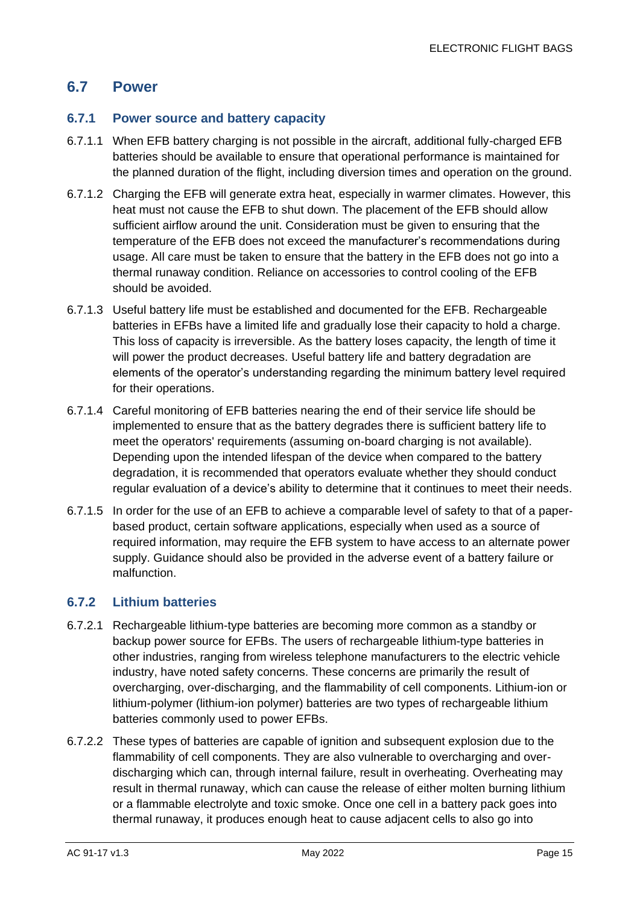#### <span id="page-15-0"></span>**6.7 Power**

#### **6.7.1 Power source and battery capacity**

- 6.7.1.1 When EFB battery charging is not possible in the aircraft, additional fully-charged EFB batteries should be available to ensure that operational performance is maintained for the planned duration of the flight, including diversion times and operation on the ground.
- 6.7.1.2 Charging the EFB will generate extra heat, especially in warmer climates. However, this heat must not cause the EFB to shut down. The placement of the EFB should allow sufficient airflow around the unit. Consideration must be given to ensuring that the temperature of the EFB does not exceed the manufacturer's recommendations during usage. All care must be taken to ensure that the battery in the EFB does not go into a thermal runaway condition. Reliance on accessories to control cooling of the EFB should be avoided.
- 6.7.1.3 Useful battery life must be established and documented for the EFB. Rechargeable batteries in EFBs have a limited life and gradually lose their capacity to hold a charge. This loss of capacity is irreversible. As the battery loses capacity, the length of time it will power the product decreases. Useful battery life and battery degradation are elements of the operator's understanding regarding the minimum battery level required for their operations.
- 6.7.1.4 Careful monitoring of EFB batteries nearing the end of their service life should be implemented to ensure that as the battery degrades there is sufficient battery life to meet the operators' requirements (assuming on-board charging is not available). Depending upon the intended lifespan of the device when compared to the battery degradation, it is recommended that operators evaluate whether they should conduct regular evaluation of a device's ability to determine that it continues to meet their needs.
- 6.7.1.5 In order for the use of an EFB to achieve a comparable level of safety to that of a paperbased product, certain software applications, especially when used as a source of required information, may require the EFB system to have access to an alternate power supply. Guidance should also be provided in the adverse event of a battery failure or malfunction.

#### **6.7.2 Lithium batteries**

- 6.7.2.1 Rechargeable lithium-type batteries are becoming more common as a standby or backup power source for EFBs. The users of rechargeable lithium-type batteries in other industries, ranging from wireless telephone manufacturers to the electric vehicle industry, have noted safety concerns. These concerns are primarily the result of overcharging, over-discharging, and the flammability of cell components. Lithium-ion or lithium-polymer (lithium-ion polymer) batteries are two types of rechargeable lithium batteries commonly used to power EFBs.
- 6.7.2.2 These types of batteries are capable of ignition and subsequent explosion due to the flammability of cell components. They are also vulnerable to overcharging and overdischarging which can, through internal failure, result in overheating. Overheating may result in thermal runaway, which can cause the release of either molten burning lithium or a flammable electrolyte and toxic smoke. Once one cell in a battery pack goes into thermal runaway, it produces enough heat to cause adjacent cells to also go into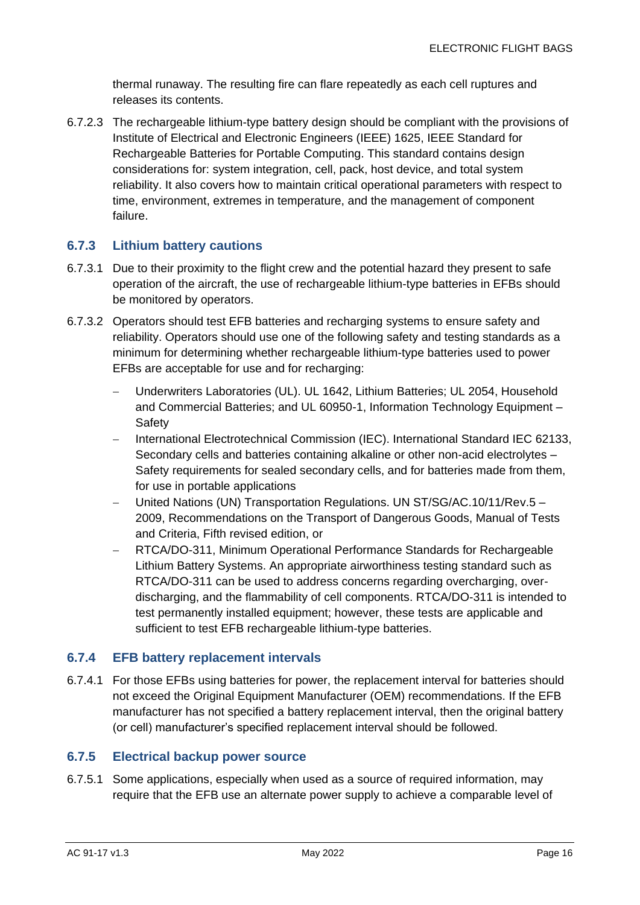thermal runaway. The resulting fire can flare repeatedly as each cell ruptures and releases its contents.

6.7.2.3 The rechargeable lithium-type battery design should be compliant with the provisions of Institute of Electrical and Electronic Engineers (IEEE) 1625, IEEE Standard for Rechargeable Batteries for Portable Computing. This standard contains design considerations for: system integration, cell, pack, host device, and total system reliability. It also covers how to maintain critical operational parameters with respect to time, environment, extremes in temperature, and the management of component failure.

#### **6.7.3 Lithium battery cautions**

- 6.7.3.1 Due to their proximity to the flight crew and the potential hazard they present to safe operation of the aircraft, the use of rechargeable lithium-type batteries in EFBs should be monitored by operators.
- 6.7.3.2 Operators should test EFB batteries and recharging systems to ensure safety and reliability. Operators should use one of the following safety and testing standards as a minimum for determining whether rechargeable lithium-type batteries used to power EFBs are acceptable for use and for recharging:
	- − Underwriters Laboratories (UL). UL 1642, Lithium Batteries; UL 2054, Household and Commercial Batteries; and UL 60950-1, Information Technology Equipment – **Safety**
	- − International Electrotechnical Commission (IEC). International Standard IEC 62133, Secondary cells and batteries containing alkaline or other non-acid electrolytes – Safety requirements for sealed secondary cells, and for batteries made from them, for use in portable applications
	- − United Nations (UN) Transportation Regulations. UN ST/SG/AC.10/11/Rev.5 2009, Recommendations on the Transport of Dangerous Goods, Manual of Tests and Criteria, Fifth revised edition, or
	- − RTCA/DO-311, Minimum Operational Performance Standards for Rechargeable Lithium Battery Systems. An appropriate airworthiness testing standard such as RTCA/DO-311 can be used to address concerns regarding overcharging, overdischarging, and the flammability of cell components. RTCA/DO-311 is intended to test permanently installed equipment; however, these tests are applicable and sufficient to test EFB rechargeable lithium-type batteries.

#### **6.7.4 EFB battery replacement intervals**

6.7.4.1 For those EFBs using batteries for power, the replacement interval for batteries should not exceed the Original Equipment Manufacturer (OEM) recommendations. If the EFB manufacturer has not specified a battery replacement interval, then the original battery (or cell) manufacturer's specified replacement interval should be followed.

#### **6.7.5 Electrical backup power source**

6.7.5.1 Some applications, especially when used as a source of required information, may require that the EFB use an alternate power supply to achieve a comparable level of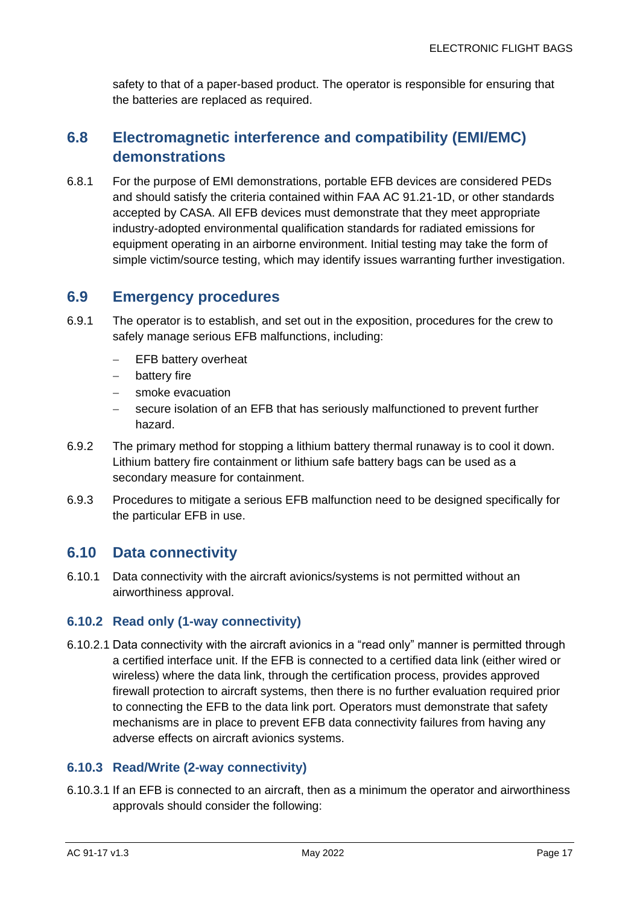safety to that of a paper-based product. The operator is responsible for ensuring that the batteries are replaced as required.

#### <span id="page-17-0"></span>**6.8 Electromagnetic interference and compatibility (EMI/EMC) demonstrations**

6.8.1 For the purpose of EMI demonstrations, portable EFB devices are considered PEDs and should satisfy the criteria contained within FAA AC 91.21-1D, or other standards accepted by CASA. All EFB devices must demonstrate that they meet appropriate industry-adopted environmental qualification standards for radiated emissions for equipment operating in an airborne environment. Initial testing may take the form of simple victim/source testing, which may identify issues warranting further investigation.

#### <span id="page-17-1"></span>**6.9 Emergency procedures**

- 6.9.1 The operator is to establish, and set out in the exposition, procedures for the crew to safely manage serious EFB malfunctions, including:
	- − EFB battery overheat
	- − battery fire
	- smoke evacuation
	- secure isolation of an EFB that has seriously malfunctioned to prevent further hazard.
- 6.9.2 The primary method for stopping a lithium battery thermal runaway is to cool it down. Lithium battery fire containment or lithium safe battery bags can be used as a secondary measure for containment.
- 6.9.3 Procedures to mitigate a serious EFB malfunction need to be designed specifically for the particular EFB in use.

#### <span id="page-17-2"></span>**6.10 Data connectivity**

6.10.1 Data connectivity with the aircraft avionics/systems is not permitted without an airworthiness approval.

#### **6.10.2 Read only (1-way connectivity)**

6.10.2.1 Data connectivity with the aircraft avionics in a "read only" manner is permitted through a certified interface unit. If the EFB is connected to a certified data link (either wired or wireless) where the data link, through the certification process, provides approved firewall protection to aircraft systems, then there is no further evaluation required prior to connecting the EFB to the data link port. Operators must demonstrate that safety mechanisms are in place to prevent EFB data connectivity failures from having any adverse effects on aircraft avionics systems.

#### **6.10.3 Read/Write (2-way connectivity)**

6.10.3.1 If an EFB is connected to an aircraft, then as a minimum the operator and airworthiness approvals should consider the following: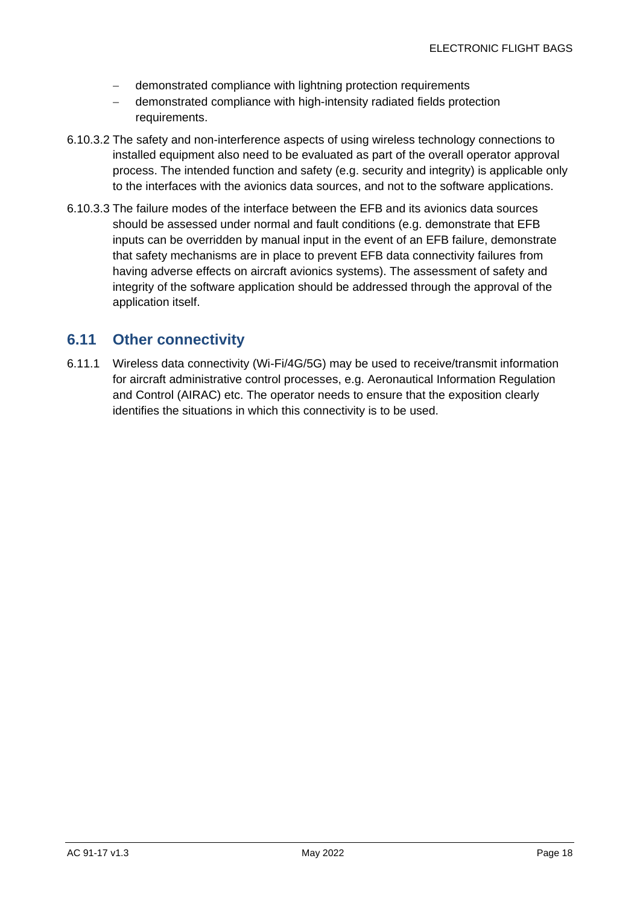- − demonstrated compliance with lightning protection requirements
- − demonstrated compliance with high-intensity radiated fields protection requirements.
- 6.10.3.2 The safety and non-interference aspects of using wireless technology connections to installed equipment also need to be evaluated as part of the overall operator approval process. The intended function and safety (e.g. security and integrity) is applicable only to the interfaces with the avionics data sources, and not to the software applications.
- 6.10.3.3 The failure modes of the interface between the EFB and its avionics data sources should be assessed under normal and fault conditions (e.g. demonstrate that EFB inputs can be overridden by manual input in the event of an EFB failure, demonstrate that safety mechanisms are in place to prevent EFB data connectivity failures from having adverse effects on aircraft avionics systems). The assessment of safety and integrity of the software application should be addressed through the approval of the application itself.

#### <span id="page-18-0"></span>**6.11 Other connectivity**

6.11.1 Wireless data connectivity (Wi-Fi/4G/5G) may be used to receive/transmit information for aircraft administrative control processes, e.g. Aeronautical Information Regulation and Control (AIRAC) etc. The operator needs to ensure that the exposition clearly identifies the situations in which this connectivity is to be used.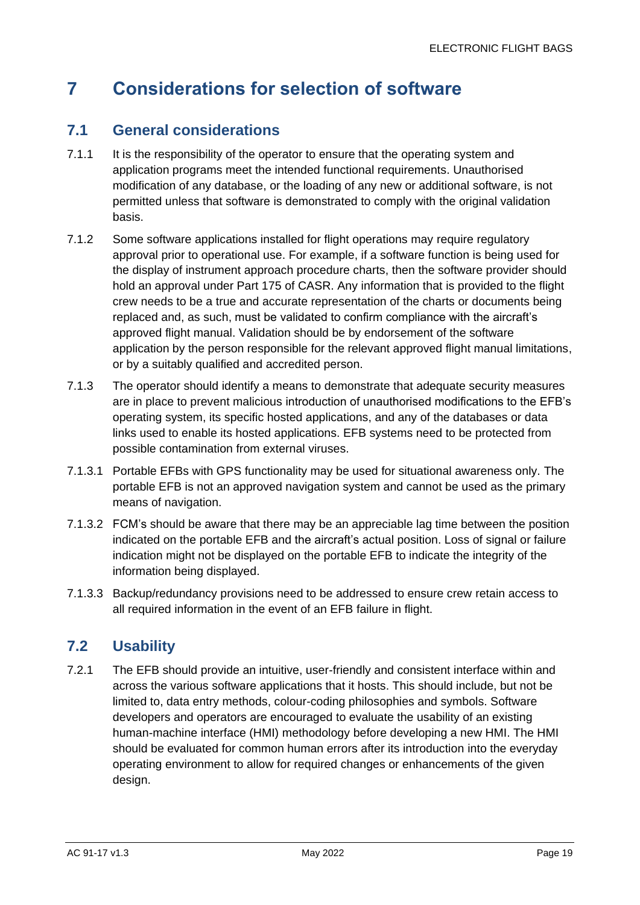## <span id="page-19-0"></span>**7 Considerations for selection of software**

#### <span id="page-19-1"></span>**7.1 General considerations**

- 7.1.1 It is the responsibility of the operator to ensure that the operating system and application programs meet the intended functional requirements. Unauthorised modification of any database, or the loading of any new or additional software, is not permitted unless that software is demonstrated to comply with the original validation basis.
- 7.1.2 Some software applications installed for flight operations may require regulatory approval prior to operational use. For example, if a software function is being used for the display of instrument approach procedure charts, then the software provider should hold an approval under Part 175 of CASR. Any information that is provided to the flight crew needs to be a true and accurate representation of the charts or documents being replaced and, as such, must be validated to confirm compliance with the aircraft's approved flight manual. Validation should be by endorsement of the software application by the person responsible for the relevant approved flight manual limitations, or by a suitably qualified and accredited person.
- 7.1.3 The operator should identify a means to demonstrate that adequate security measures are in place to prevent malicious introduction of unauthorised modifications to the EFB's operating system, its specific hosted applications, and any of the databases or data links used to enable its hosted applications. EFB systems need to be protected from possible contamination from external viruses.
- 7.1.3.1 Portable EFBs with GPS functionality may be used for situational awareness only. The portable EFB is not an approved navigation system and cannot be used as the primary means of navigation.
- 7.1.3.2 FCM's should be aware that there may be an appreciable lag time between the position indicated on the portable EFB and the aircraft's actual position. Loss of signal or failure indication might not be displayed on the portable EFB to indicate the integrity of the information being displayed.
- 7.1.3.3 Backup/redundancy provisions need to be addressed to ensure crew retain access to all required information in the event of an EFB failure in flight.

#### <span id="page-19-2"></span>**7.2 Usability**

7.2.1 The EFB should provide an intuitive, user-friendly and consistent interface within and across the various software applications that it hosts. This should include, but not be limited to, data entry methods, colour-coding philosophies and symbols. Software developers and operators are encouraged to evaluate the usability of an existing human-machine interface (HMI) methodology before developing a new HMI. The HMI should be evaluated for common human errors after its introduction into the everyday operating environment to allow for required changes or enhancements of the given design.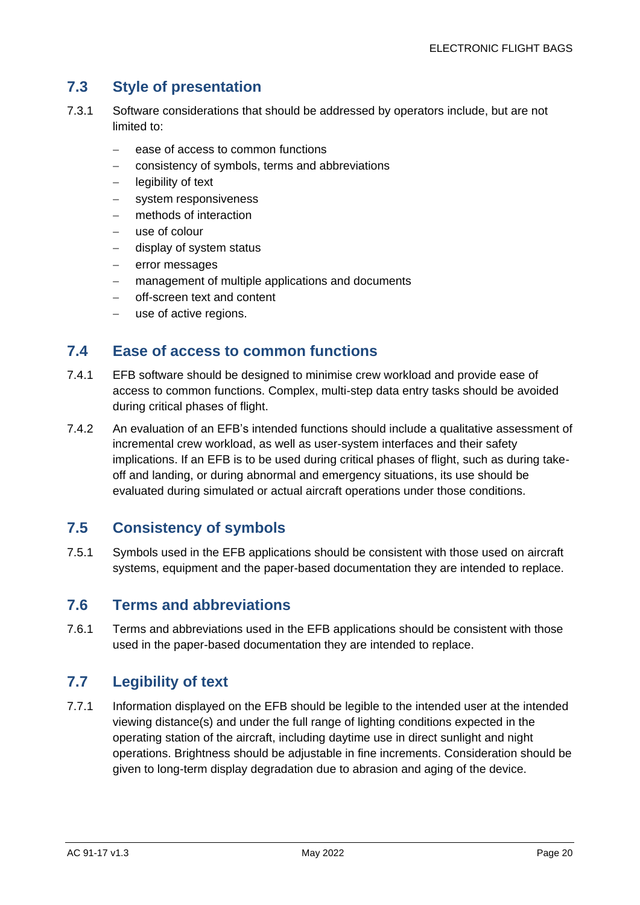#### <span id="page-20-0"></span>**7.3 Style of presentation**

- 7.3.1 Software considerations that should be addressed by operators include, but are not limited to:
	- − ease of access to common functions
	- − consistency of symbols, terms and abbreviations
	- − legibility of text
	- system responsiveness
	- methods of interaction
	- − use of colour
	- − display of system status
	- error messages
	- − management of multiple applications and documents
	- − off-screen text and content
	- use of active regions.

#### <span id="page-20-1"></span>**7.4 Ease of access to common functions**

- 7.4.1 EFB software should be designed to minimise crew workload and provide ease of access to common functions. Complex, multi-step data entry tasks should be avoided during critical phases of flight.
- 7.4.2 An evaluation of an EFB's intended functions should include a qualitative assessment of incremental crew workload, as well as user-system interfaces and their safety implications. If an EFB is to be used during critical phases of flight, such as during takeoff and landing, or during abnormal and emergency situations, its use should be evaluated during simulated or actual aircraft operations under those conditions.

#### <span id="page-20-2"></span>**7.5 Consistency of symbols**

7.5.1 Symbols used in the EFB applications should be consistent with those used on aircraft systems, equipment and the paper-based documentation they are intended to replace.

#### <span id="page-20-3"></span>**7.6 Terms and abbreviations**

7.6.1 Terms and abbreviations used in the EFB applications should be consistent with those used in the paper-based documentation they are intended to replace.

#### <span id="page-20-4"></span>**7.7 Legibility of text**

7.7.1 Information displayed on the EFB should be legible to the intended user at the intended viewing distance(s) and under the full range of lighting conditions expected in the operating station of the aircraft, including daytime use in direct sunlight and night operations. Brightness should be adjustable in fine increments. Consideration should be given to long-term display degradation due to abrasion and aging of the device.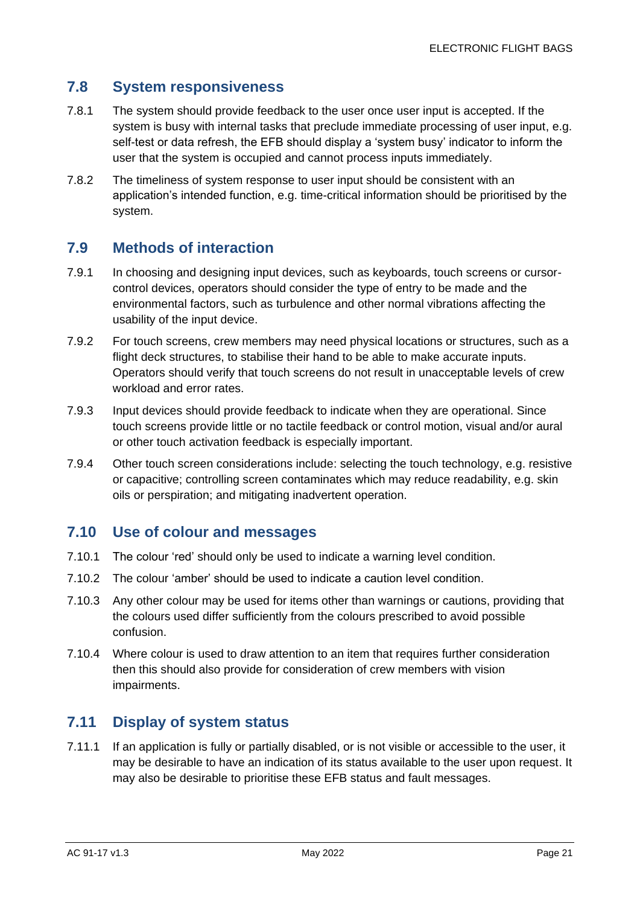#### <span id="page-21-0"></span>**7.8 System responsiveness**

- 7.8.1 The system should provide feedback to the user once user input is accepted. If the system is busy with internal tasks that preclude immediate processing of user input, e.g. self-test or data refresh, the EFB should display a 'system busy' indicator to inform the user that the system is occupied and cannot process inputs immediately.
- 7.8.2 The timeliness of system response to user input should be consistent with an application's intended function, e.g. time-critical information should be prioritised by the system.

#### <span id="page-21-1"></span>**7.9 Methods of interaction**

- 7.9.1 In choosing and designing input devices, such as keyboards, touch screens or cursorcontrol devices, operators should consider the type of entry to be made and the environmental factors, such as turbulence and other normal vibrations affecting the usability of the input device.
- 7.9.2 For touch screens, crew members may need physical locations or structures, such as a flight deck structures, to stabilise their hand to be able to make accurate inputs. Operators should verify that touch screens do not result in unacceptable levels of crew workload and error rates.
- 7.9.3 Input devices should provide feedback to indicate when they are operational. Since touch screens provide little or no tactile feedback or control motion, visual and/or aural or other touch activation feedback is especially important.
- 7.9.4 Other touch screen considerations include: selecting the touch technology, e.g. resistive or capacitive; controlling screen contaminates which may reduce readability, e.g. skin oils or perspiration; and mitigating inadvertent operation.

#### <span id="page-21-2"></span>**7.10 Use of colour and messages**

- 7.10.1 The colour 'red' should only be used to indicate a warning level condition.
- 7.10.2 The colour 'amber' should be used to indicate a caution level condition.
- 7.10.3 Any other colour may be used for items other than warnings or cautions, providing that the colours used differ sufficiently from the colours prescribed to avoid possible confusion.
- 7.10.4 Where colour is used to draw attention to an item that requires further consideration then this should also provide for consideration of crew members with vision impairments.

#### <span id="page-21-3"></span>**7.11 Display of system status**

7.11.1 If an application is fully or partially disabled, or is not visible or accessible to the user, it may be desirable to have an indication of its status available to the user upon request. It may also be desirable to prioritise these EFB status and fault messages.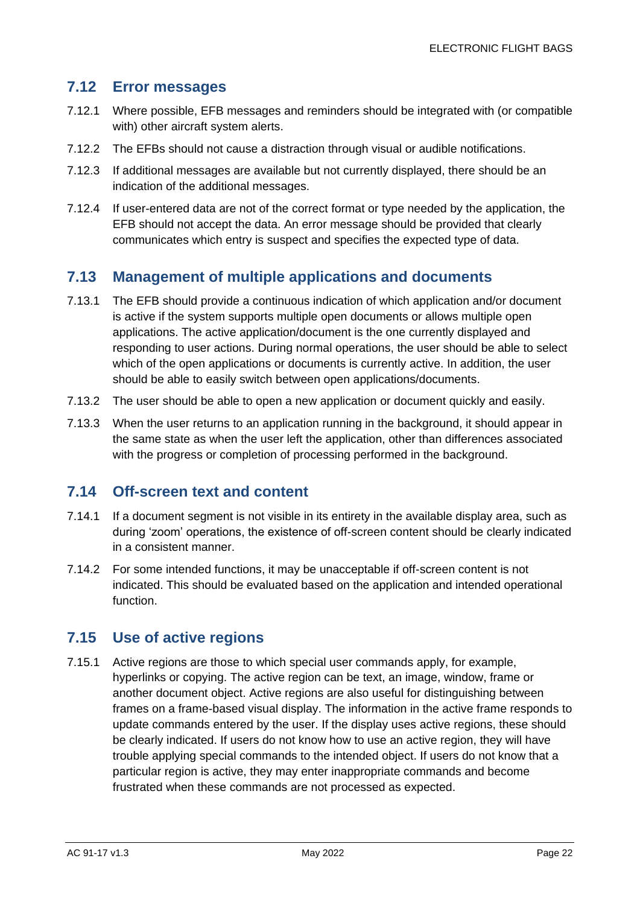#### <span id="page-22-0"></span>**7.12 Error messages**

- 7.12.1 Where possible, EFB messages and reminders should be integrated with (or compatible with) other aircraft system alerts.
- 7.12.2 The EFBs should not cause a distraction through visual or audible notifications.
- 7.12.3 If additional messages are available but not currently displayed, there should be an indication of the additional messages.
- 7.12.4 If user-entered data are not of the correct format or type needed by the application, the EFB should not accept the data. An error message should be provided that clearly communicates which entry is suspect and specifies the expected type of data.

#### <span id="page-22-1"></span>**7.13 Management of multiple applications and documents**

- 7.13.1 The EFB should provide a continuous indication of which application and/or document is active if the system supports multiple open documents or allows multiple open applications. The active application/document is the one currently displayed and responding to user actions. During normal operations, the user should be able to select which of the open applications or documents is currently active. In addition, the user should be able to easily switch between open applications/documents.
- 7.13.2 The user should be able to open a new application or document quickly and easily.
- 7.13.3 When the user returns to an application running in the background, it should appear in the same state as when the user left the application, other than differences associated with the progress or completion of processing performed in the background.

#### <span id="page-22-2"></span>**7.14 Off-screen text and content**

- 7.14.1 If a document segment is not visible in its entirety in the available display area, such as during 'zoom' operations, the existence of off-screen content should be clearly indicated in a consistent manner.
- 7.14.2 For some intended functions, it may be unacceptable if off-screen content is not indicated. This should be evaluated based on the application and intended operational function.

#### <span id="page-22-3"></span>**7.15 Use of active regions**

7.15.1 Active regions are those to which special user commands apply, for example, hyperlinks or copying. The active region can be text, an image, window, frame or another document object. Active regions are also useful for distinguishing between frames on a frame-based visual display. The information in the active frame responds to update commands entered by the user. If the display uses active regions, these should be clearly indicated. If users do not know how to use an active region, they will have trouble applying special commands to the intended object. If users do not know that a particular region is active, they may enter inappropriate commands and become frustrated when these commands are not processed as expected.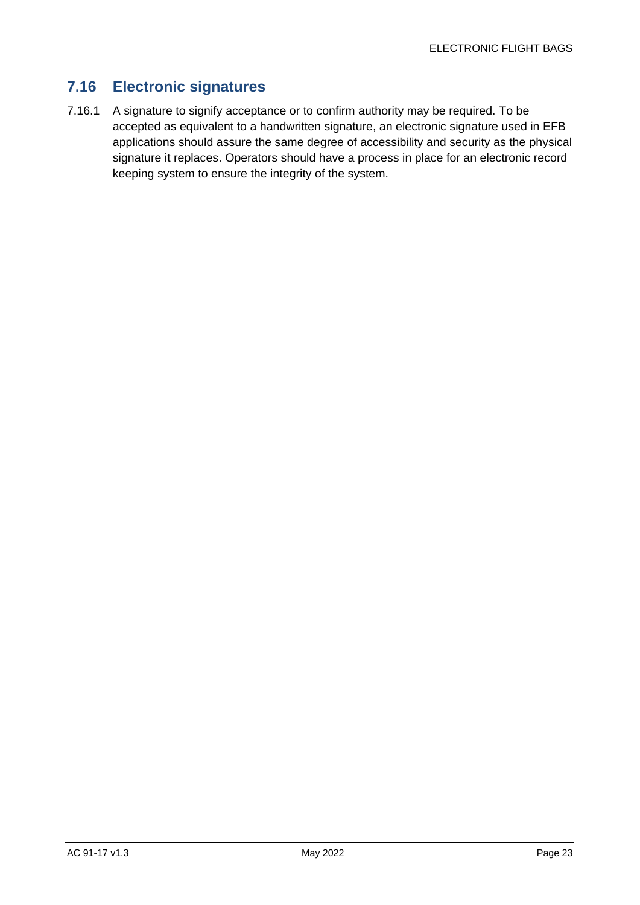#### <span id="page-23-0"></span>**7.16 Electronic signatures**

7.16.1 A signature to signify acceptance or to confirm authority may be required. To be accepted as equivalent to a handwritten signature, an electronic signature used in EFB applications should assure the same degree of accessibility and security as the physical signature it replaces. Operators should have a process in place for an electronic record keeping system to ensure the integrity of the system.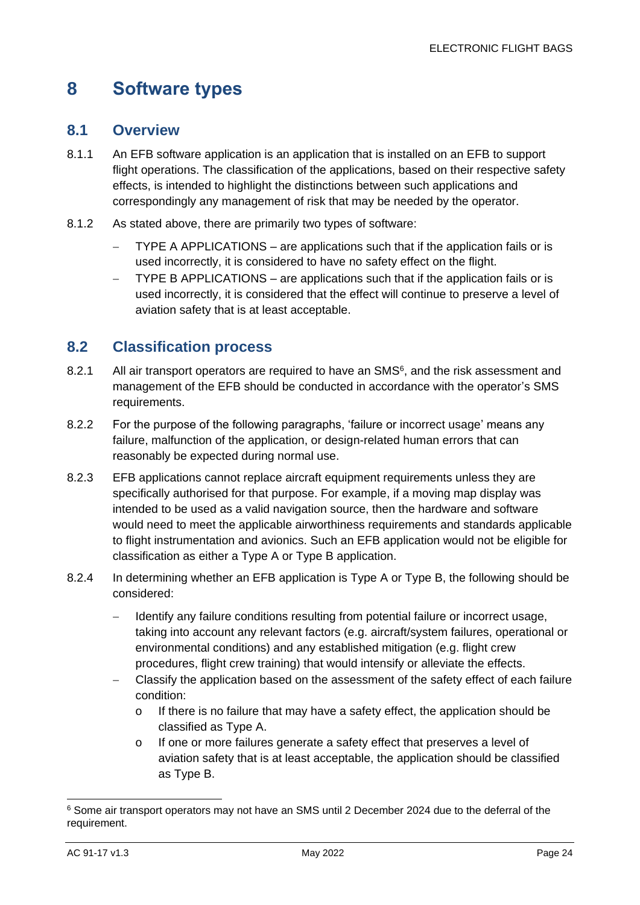## <span id="page-24-0"></span>**8 Software types**

#### <span id="page-24-1"></span>**8.1 Overview**

- 8.1.1 An EFB software application is an application that is installed on an EFB to support flight operations. The classification of the applications, based on their respective safety effects, is intended to highlight the distinctions between such applications and correspondingly any management of risk that may be needed by the operator.
- 8.1.2 As stated above, there are primarily two types of software:
	- − TYPE A APPLICATIONS are applications such that if the application fails or is used incorrectly, it is considered to have no safety effect on the flight.
	- − TYPE B APPLICATIONS are applications such that if the application fails or is used incorrectly, it is considered that the effect will continue to preserve a level of aviation safety that is at least acceptable.

#### <span id="page-24-2"></span>**8.2 Classification process**

- 8.2.1 All air transport operators are required to have an SMS<sup>6</sup>, and the risk assessment and management of the EFB should be conducted in accordance with the operator's SMS requirements.
- 8.2.2 For the purpose of the following paragraphs, 'failure or incorrect usage' means any failure, malfunction of the application, or design-related human errors that can reasonably be expected during normal use.
- 8.2.3 EFB applications cannot replace aircraft equipment requirements unless they are specifically authorised for that purpose. For example, if a moving map display was intended to be used as a valid navigation source, then the hardware and software would need to meet the applicable airworthiness requirements and standards applicable to flight instrumentation and avionics. Such an EFB application would not be eligible for classification as either a Type A or Type B application.
- 8.2.4 In determining whether an EFB application is Type A or Type B, the following should be considered:
	- − Identify any failure conditions resulting from potential failure or incorrect usage, taking into account any relevant factors (e.g. aircraft/system failures, operational or environmental conditions) and any established mitigation (e.g. flight crew procedures, flight crew training) that would intensify or alleviate the effects.
	- − Classify the application based on the assessment of the safety effect of each failure condition:
		- o If there is no failure that may have a safety effect, the application should be classified as Type A.
		- o If one or more failures generate a safety effect that preserves a level of aviation safety that is at least acceptable, the application should be classified as Type B.

<sup>6</sup> Some air transport operators may not have an SMS until 2 December 2024 due to the deferral of the requirement.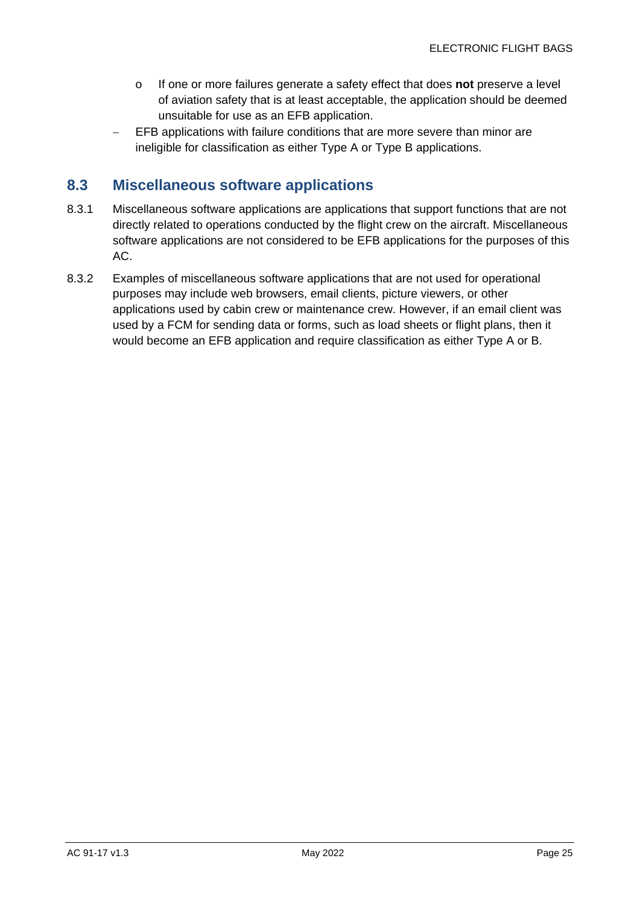- o If one or more failures generate a safety effect that does **not** preserve a level of aviation safety that is at least acceptable, the application should be deemed unsuitable for use as an EFB application.
- EFB applications with failure conditions that are more severe than minor are ineligible for classification as either Type A or Type B applications.

#### <span id="page-25-0"></span>**8.3 Miscellaneous software applications**

- 8.3.1 Miscellaneous software applications are applications that support functions that are not directly related to operations conducted by the flight crew on the aircraft. Miscellaneous software applications are not considered to be EFB applications for the purposes of this AC.
- 8.3.2 Examples of miscellaneous software applications that are not used for operational purposes may include web browsers, email clients, picture viewers, or other applications used by cabin crew or maintenance crew. However, if an email client was used by a FCM for sending data or forms, such as load sheets or flight plans, then it would become an EFB application and require classification as either Type A or B.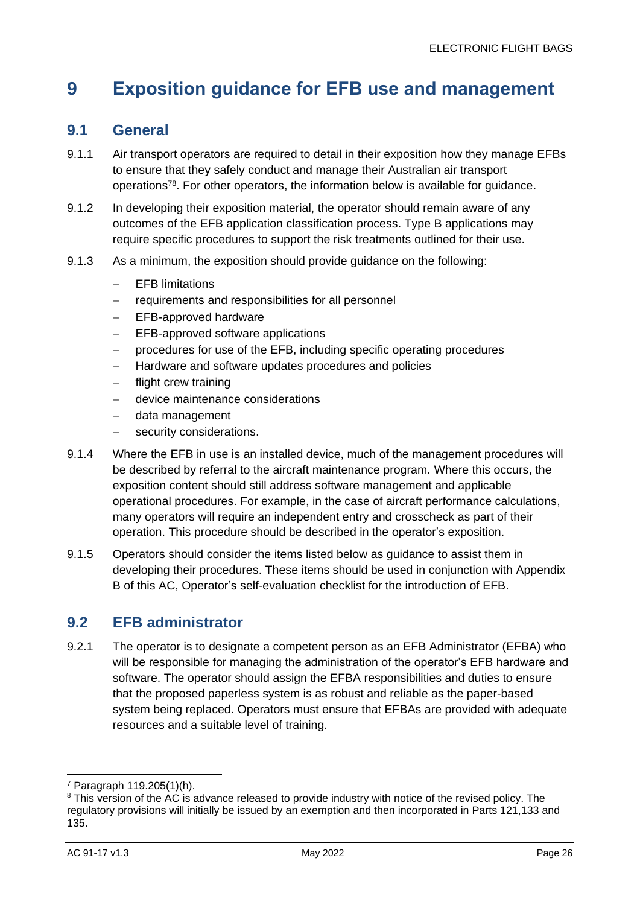## <span id="page-26-0"></span>**9 Exposition guidance for EFB use and management**

#### <span id="page-26-1"></span>**9.1 General**

- 9.1.1 Air transport operators are required to detail in their exposition how they manage EFBs to ensure that they safely conduct and manage their Australian air transport operations<sup>78</sup>. For other operators, the information below is available for guidance.
- 9.1.2 In developing their exposition material, the operator should remain aware of any outcomes of the EFB application classification process. Type B applications may require specific procedures to support the risk treatments outlined for their use.
- 9.1.3 As a minimum, the exposition should provide guidance on the following:
	- − EFB limitations
	- − requirements and responsibilities for all personnel
	- − EFB-approved hardware
	- − EFB-approved software applications
	- − procedures for use of the EFB, including specific operating procedures
	- − Hardware and software updates procedures and policies
	- − flight crew training
	- − device maintenance considerations
	- − data management
	- security considerations.
- 9.1.4 Where the EFB in use is an installed device, much of the management procedures will be described by referral to the aircraft maintenance program. Where this occurs, the exposition content should still address software management and applicable operational procedures. For example, in the case of aircraft performance calculations, many operators will require an independent entry and crosscheck as part of their operation. This procedure should be described in the operator's exposition.
- 9.1.5 Operators should consider the items listed below as guidance to assist them in developing their procedures. These items should be used in conjunction with Appendix B of this AC, Operator's self-evaluation checklist for the introduction of EFB.

#### <span id="page-26-2"></span>**9.2 EFB administrator**

9.2.1 The operator is to designate a competent person as an EFB Administrator (EFBA) who will be responsible for managing the administration of the operator's EFB hardware and software. The operator should assign the EFBA responsibilities and duties to ensure that the proposed paperless system is as robust and reliable as the paper-based system being replaced. Operators must ensure that EFBAs are provided with adequate resources and a suitable level of training.

<sup>7</sup> Paragraph 119.205(1)(h).

<sup>&</sup>lt;sup>8</sup> This version of the AC is advance released to provide industry with notice of the revised policy. The regulatory provisions will initially be issued by an exemption and then incorporated in Parts 121,133 and 135.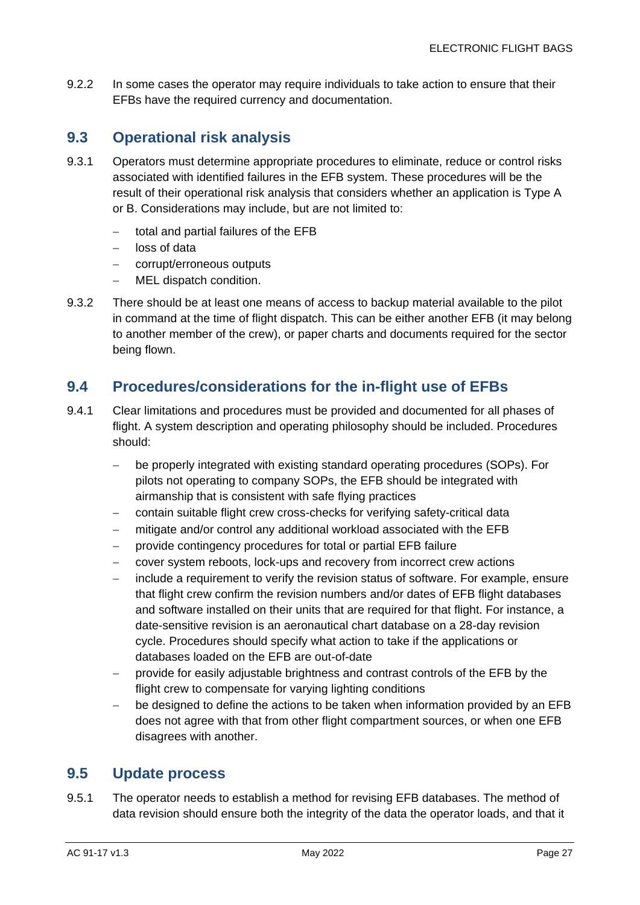9.2.2 In some cases the operator may require individuals to take action to ensure that their EFBs have the required currency and documentation.

#### <span id="page-27-0"></span>**9.3 Operational risk analysis**

- 9.3.1 Operators must determine appropriate procedures to eliminate, reduce or control risks associated with identified failures in the EFB system. These procedures will be the result of their operational risk analysis that considers whether an application is Type A or B. Considerations may include, but are not limited to:
	- − total and partial failures of the EFB
	- loss of data
	- corrupt/erroneous outputs
	- − MEL dispatch condition.
- 9.3.2 There should be at least one means of access to backup material available to the pilot in command at the time of flight dispatch. This can be either another EFB (it may belong to another member of the crew), or paper charts and documents required for the sector being flown.

#### <span id="page-27-1"></span>**9.4 Procedures/considerations for the in-flight use of EFBs**

- 9.4.1 Clear limitations and procedures must be provided and documented for all phases of flight. A system description and operating philosophy should be included. Procedures should:
	- be properly integrated with existing standard operating procedures (SOPs). For pilots not operating to company SOPs, the EFB should be integrated with airmanship that is consistent with safe flying practices
	- − contain suitable flight crew cross-checks for verifying safety-critical data
	- mitigate and/or control any additional workload associated with the EFB
	- − provide contingency procedures for total or partial EFB failure
	- − cover system reboots, lock-ups and recovery from incorrect crew actions
	- include a requirement to verify the revision status of software. For example, ensure that flight crew confirm the revision numbers and/or dates of EFB flight databases and software installed on their units that are required for that flight. For instance, a date-sensitive revision is an aeronautical chart database on a 28-day revision cycle. Procedures should specify what action to take if the applications or databases loaded on the EFB are out-of-date
	- − provide for easily adjustable brightness and contrast controls of the EFB by the flight crew to compensate for varying lighting conditions
	- − be designed to define the actions to be taken when information provided by an EFB does not agree with that from other flight compartment sources, or when one EFB disagrees with another.

#### <span id="page-27-2"></span>**9.5 Update process**

9.5.1 The operator needs to establish a method for revising EFB databases. The method of data revision should ensure both the integrity of the data the operator loads, and that it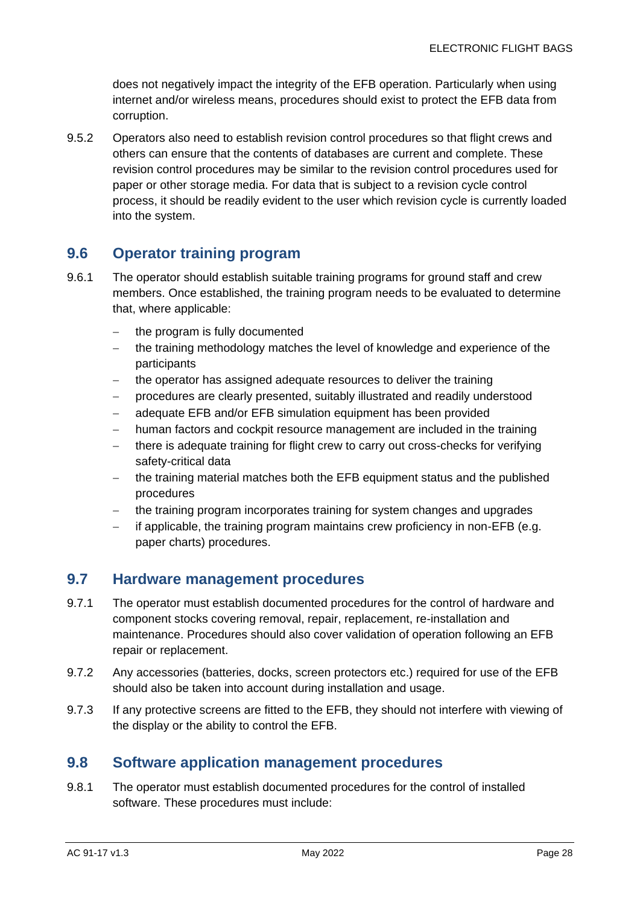does not negatively impact the integrity of the EFB operation. Particularly when using internet and/or wireless means, procedures should exist to protect the EFB data from corruption.

9.5.2 Operators also need to establish revision control procedures so that flight crews and others can ensure that the contents of databases are current and complete. These revision control procedures may be similar to the revision control procedures used for paper or other storage media. For data that is subject to a revision cycle control process, it should be readily evident to the user which revision cycle is currently loaded into the system.

#### <span id="page-28-0"></span>**9.6 Operator training program**

- 9.6.1 The operator should establish suitable training programs for ground staff and crew members. Once established, the training program needs to be evaluated to determine that, where applicable:
	- the program is fully documented
	- − the training methodology matches the level of knowledge and experience of the participants
	- the operator has assigned adequate resources to deliver the training
	- − procedures are clearly presented, suitably illustrated and readily understood
	- − adequate EFB and/or EFB simulation equipment has been provided
	- − human factors and cockpit resource management are included in the training
	- there is adequate training for flight crew to carry out cross-checks for verifying safety-critical data
	- − the training material matches both the EFB equipment status and the published procedures
	- − the training program incorporates training for system changes and upgrades
	- − if applicable, the training program maintains crew proficiency in non-EFB (e.g. paper charts) procedures.

#### <span id="page-28-1"></span>**9.7 Hardware management procedures**

- 9.7.1 The operator must establish documented procedures for the control of hardware and component stocks covering removal, repair, replacement, re-installation and maintenance. Procedures should also cover validation of operation following an EFB repair or replacement.
- 9.7.2 Any accessories (batteries, docks, screen protectors etc.) required for use of the EFB should also be taken into account during installation and usage.
- 9.7.3 If any protective screens are fitted to the EFB, they should not interfere with viewing of the display or the ability to control the EFB.

#### <span id="page-28-2"></span>**9.8 Software application management procedures**

9.8.1 The operator must establish documented procedures for the control of installed software. These procedures must include: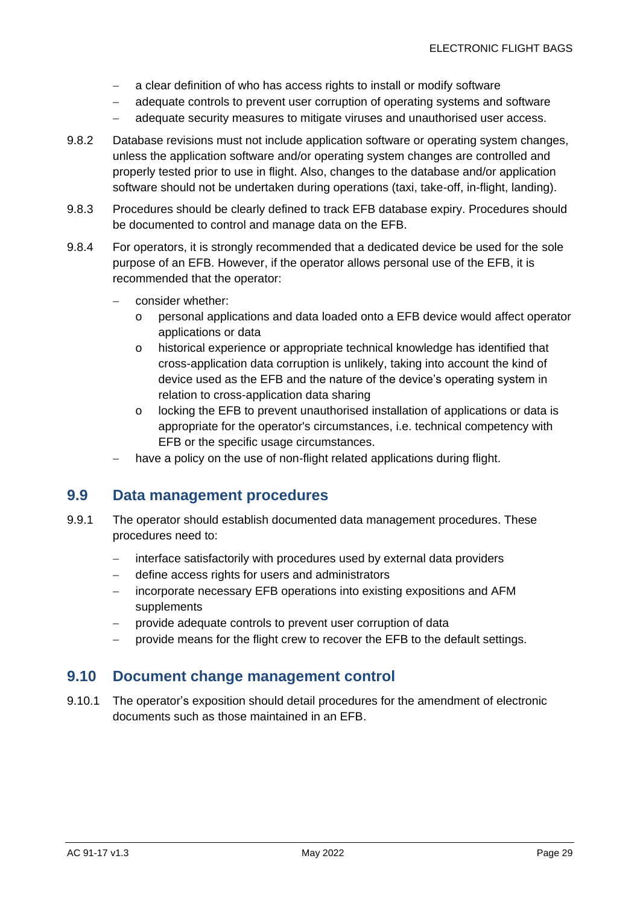- − a clear definition of who has access rights to install or modify software
- − adequate controls to prevent user corruption of operating systems and software
- − adequate security measures to mitigate viruses and unauthorised user access.
- 9.8.2 Database revisions must not include application software or operating system changes, unless the application software and/or operating system changes are controlled and properly tested prior to use in flight. Also, changes to the database and/or application software should not be undertaken during operations (taxi, take-off, in-flight, landing).
- 9.8.3 Procedures should be clearly defined to track EFB database expiry. Procedures should be documented to control and manage data on the EFB.
- 9.8.4 For operators, it is strongly recommended that a dedicated device be used for the sole purpose of an EFB. However, if the operator allows personal use of the EFB, it is recommended that the operator:
	- − consider whether:
		- o personal applications and data loaded onto a EFB device would affect operator applications or data
		- o historical experience or appropriate technical knowledge has identified that cross-application data corruption is unlikely, taking into account the kind of device used as the EFB and the nature of the device's operating system in relation to cross-application data sharing
		- o locking the EFB to prevent unauthorised installation of applications or data is appropriate for the operator's circumstances, i.e. technical competency with EFB or the specific usage circumstances.
	- have a policy on the use of non-flight related applications during flight.

#### <span id="page-29-0"></span>**9.9 Data management procedures**

- 9.9.1 The operator should establish documented data management procedures. These procedures need to:
	- − interface satisfactorily with procedures used by external data providers
	- − define access rights for users and administrators
	- incorporate necessary EFB operations into existing expositions and AFM supplements
	- − provide adequate controls to prevent user corruption of data
	- provide means for the flight crew to recover the EFB to the default settings.

#### <span id="page-29-1"></span>**9.10 Document change management control**

9.10.1 The operator's exposition should detail procedures for the amendment of electronic documents such as those maintained in an EFB.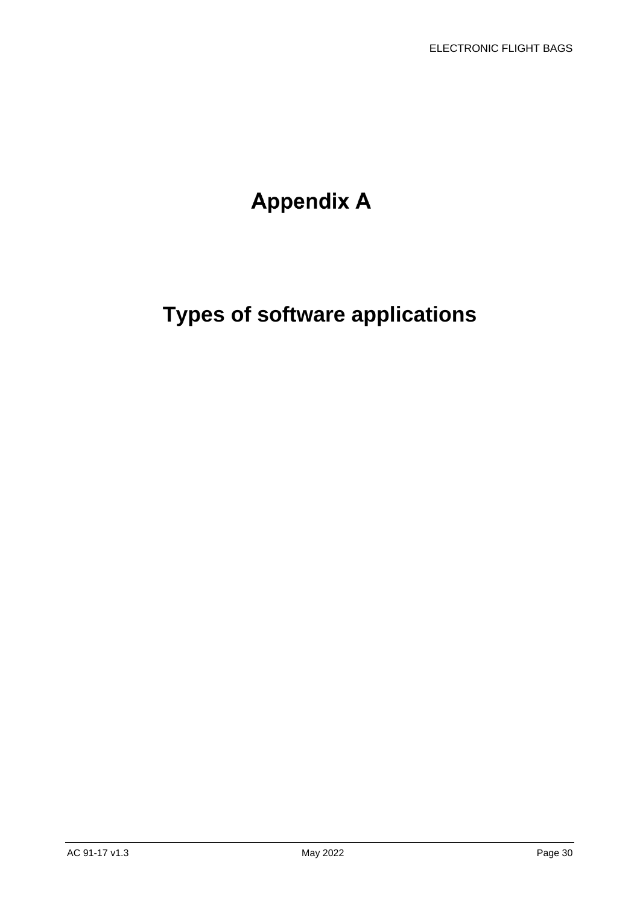## **Appendix A**

## <span id="page-30-0"></span>**Types of software applications**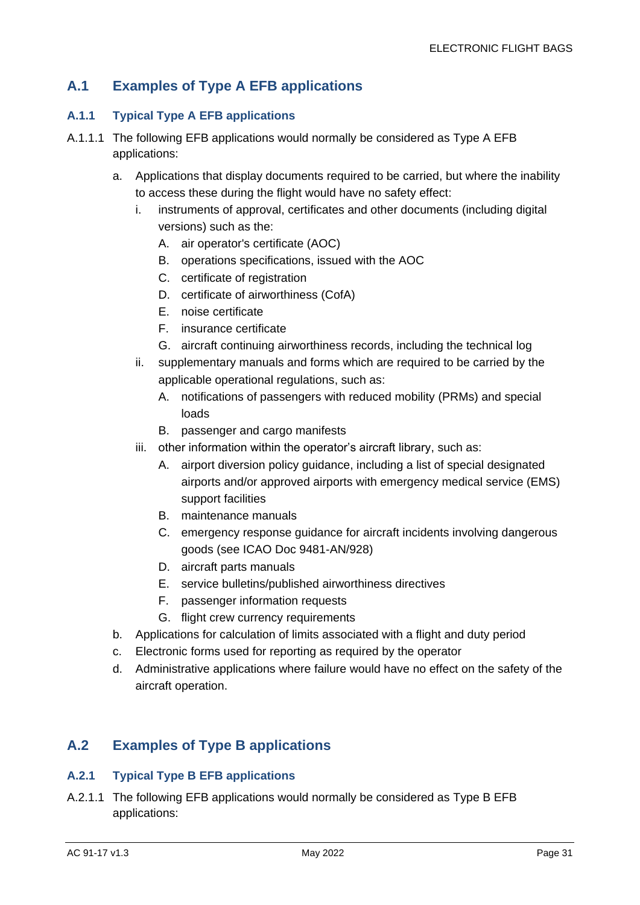#### **A.1 Examples of Type A EFB applications**

#### **A.1.1 Typical Type A EFB applications**

- A.1.1.1 The following EFB applications would normally be considered as Type A EFB applications:
	- a. Applications that display documents required to be carried, but where the inability to access these during the flight would have no safety effect:
		- i. instruments of approval, certificates and other documents (including digital versions) such as the:
			- A. air operator's certificate (AOC)
			- B. operations specifications, issued with the AOC
			- C. certificate of registration
			- D. certificate of airworthiness (CofA)
			- E. noise certificate
			- F. insurance certificate
			- G. aircraft continuing airworthiness records, including the technical log
		- ii. supplementary manuals and forms which are required to be carried by the applicable operational regulations, such as:
			- A. notifications of passengers with reduced mobility (PRMs) and special loads
			- B. passenger and cargo manifests
		- iii. other information within the operator's aircraft library, such as:
			- A. airport diversion policy guidance, including a list of special designated airports and/or approved airports with emergency medical service (EMS) support facilities
			- B. maintenance manuals
			- C. emergency response guidance for aircraft incidents involving dangerous goods (see ICAO Doc 9481-AN/928)
			- D. aircraft parts manuals
			- E. service bulletins/published airworthiness directives
			- F. passenger information requests
			- G. flight crew currency requirements
	- b. Applications for calculation of limits associated with a flight and duty period
	- c. Electronic forms used for reporting as required by the operator
	- d. Administrative applications where failure would have no effect on the safety of the aircraft operation.

#### **A.2 Examples of Type B applications**

#### **A.2.1 Typical Type B EFB applications**

A.2.1.1 The following EFB applications would normally be considered as Type B EFB applications: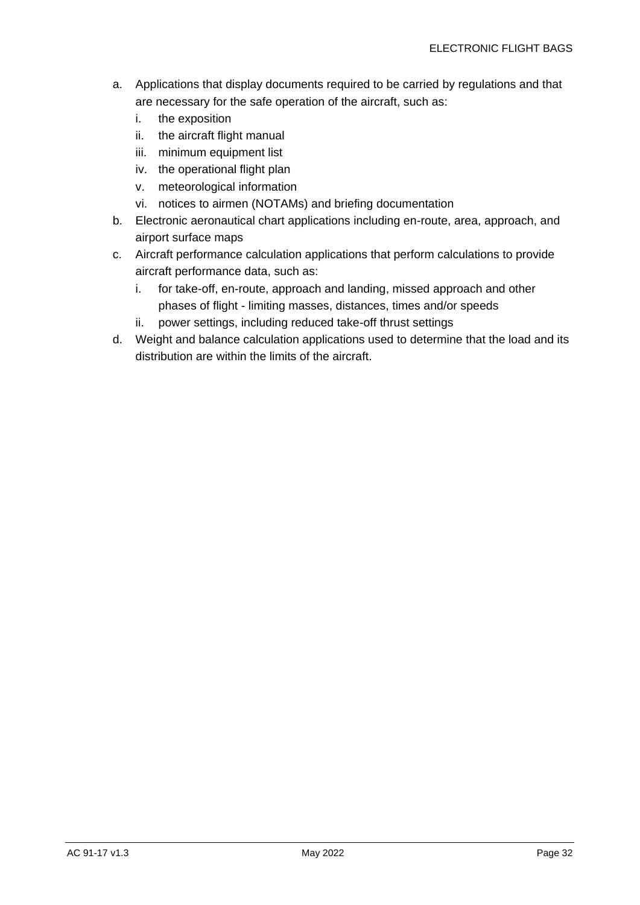- a. Applications that display documents required to be carried by regulations and that are necessary for the safe operation of the aircraft, such as:
	- i. the exposition
	- ii. the aircraft flight manual
	- iii. minimum equipment list
	- iv. the operational flight plan
	- v. meteorological information
	- vi. notices to airmen (NOTAMs) and briefing documentation
- b. Electronic aeronautical chart applications including en-route, area, approach, and airport surface maps
- c. Aircraft performance calculation applications that perform calculations to provide aircraft performance data, such as:
	- i. for take-off, en-route, approach and landing, missed approach and other phases of flight - limiting masses, distances, times and/or speeds
	- ii. power settings, including reduced take-off thrust settings
- d. Weight and balance calculation applications used to determine that the load and its distribution are within the limits of the aircraft.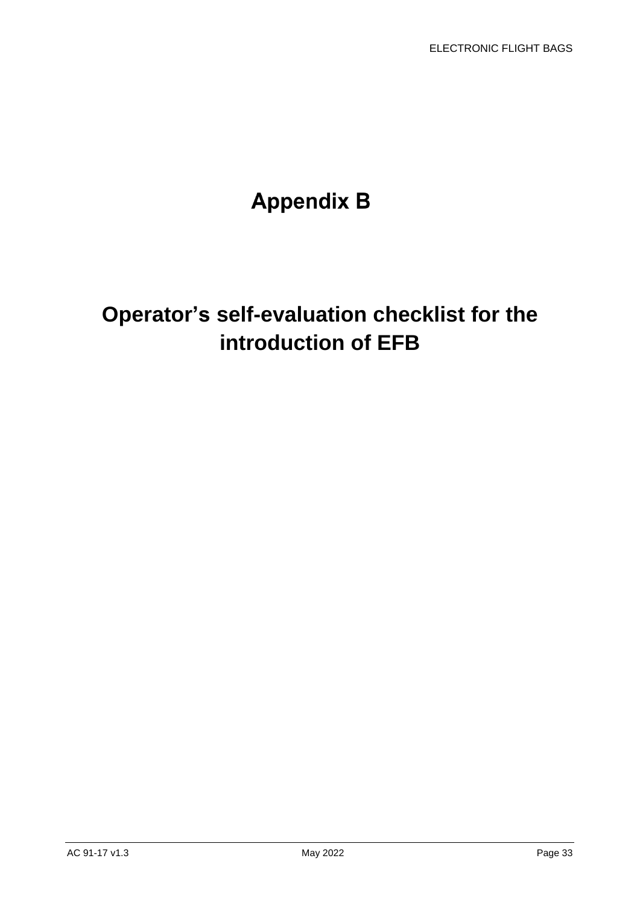## **Appendix B**

## **Operator's self-evaluation checklist for the introduction of EFB**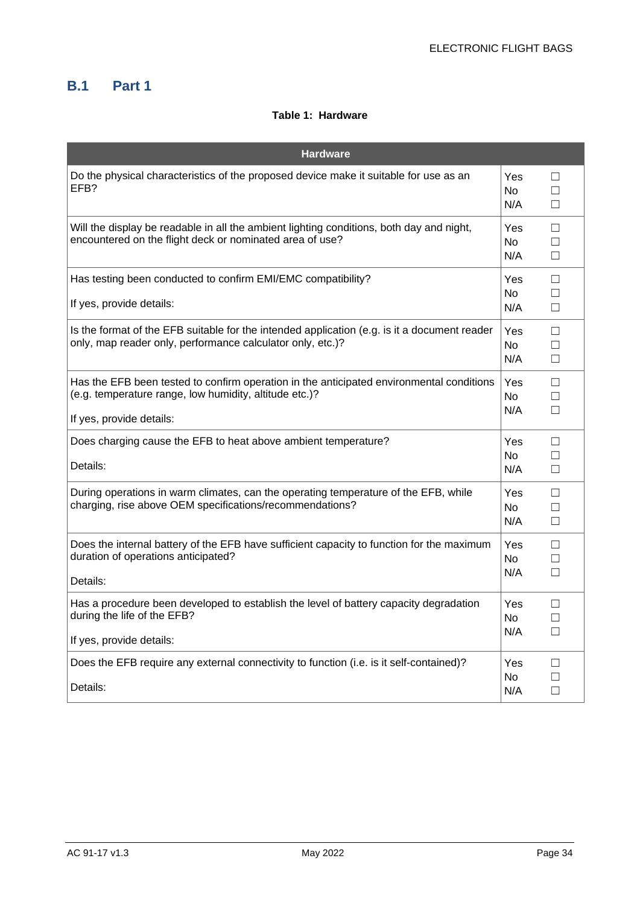#### **B.1 Part 1**

#### **Table 1: Hardware**

| <b>Hardware</b>                                                                                                                                                                |                                |                   |
|--------------------------------------------------------------------------------------------------------------------------------------------------------------------------------|--------------------------------|-------------------|
| Do the physical characteristics of the proposed device make it suitable for use as an<br>EFB?                                                                                  | Yes<br>No<br>N/A               | П<br>П<br>П       |
| Will the display be readable in all the ambient lighting conditions, both day and night,<br>encountered on the flight deck or nominated area of use?                           | <b>Yes</b><br><b>No</b><br>N/A | П<br>$\perp$<br>П |
| Has testing been conducted to confirm EMI/EMC compatibility?<br>If yes, provide details:                                                                                       | Yes<br>No<br>N/A               | П<br>П<br>П       |
| Is the format of the EFB suitable for the intended application (e.g. is it a document reader<br>only, map reader only, performance calculator only, etc.)?                     | <b>Yes</b><br><b>No</b><br>N/A | П<br>П<br>$\Box$  |
| Has the EFB been tested to confirm operation in the anticipated environmental conditions<br>(e.g. temperature range, low humidity, altitude etc.)?<br>If yes, provide details: | Yes<br>No.<br>N/A              | □<br>П<br>П       |
| Does charging cause the EFB to heat above ambient temperature?<br>Details:                                                                                                     | Yes<br>No.<br>N/A              | П<br>П<br>П       |
| During operations in warm climates, can the operating temperature of the EFB, while<br>charging, rise above OEM specifications/recommendations?                                | Yes<br>No<br>N/A               | $\Box$<br>П<br>П  |
| Does the internal battery of the EFB have sufficient capacity to function for the maximum<br>duration of operations anticipated?<br>Details:                                   | Yes<br><b>No</b><br>N/A        | П<br>П<br>□       |
| Has a procedure been developed to establish the level of battery capacity degradation<br>during the life of the EFB?<br>If yes, provide details:                               | <b>Yes</b><br>No.<br>N/A       | П<br>П<br>$\Box$  |
| Does the EFB require any external connectivity to function (i.e. is it self-contained)?<br>Details:                                                                            | <b>Yes</b><br>No.<br>N/A       | П<br>П<br>П       |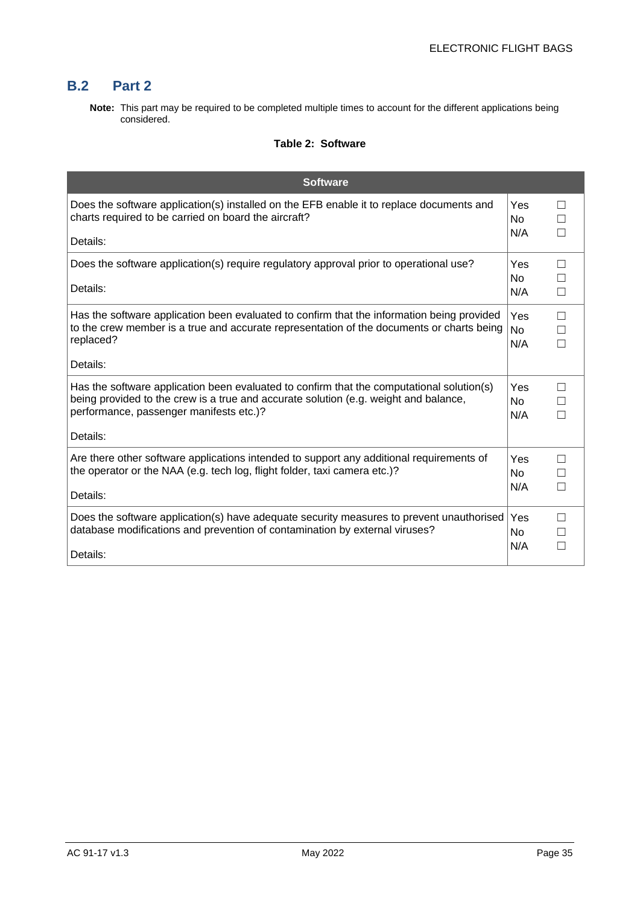#### **B.2 Part 2**

**Note:** This part may be required to be completed multiple times to account for the different applications being considered.

#### **Table 2: Software**

| <b>Software</b>                                                                                                                                                                                                                          |                              |              |
|------------------------------------------------------------------------------------------------------------------------------------------------------------------------------------------------------------------------------------------|------------------------------|--------------|
| Does the software application(s) installed on the EFB enable it to replace documents and<br>charts required to be carried on board the aircraft?                                                                                         | Yes<br>N <sub>o</sub><br>N/A | П            |
| Details:                                                                                                                                                                                                                                 |                              |              |
| Does the software application(s) require regulatory approval prior to operational use?<br>Details:                                                                                                                                       | Yes<br>N <sub>0</sub>        | п            |
|                                                                                                                                                                                                                                          | N/A                          | П            |
| Has the software application been evaluated to confirm that the information being provided<br>to the crew member is a true and accurate representation of the documents or charts being<br>replaced?                                     | Yes<br><b>No</b><br>N/A      | П<br>П<br>П  |
| Details:                                                                                                                                                                                                                                 |                              |              |
| Has the software application been evaluated to confirm that the computational solution(s)<br>being provided to the crew is a true and accurate solution (e.g. weight and balance,<br>performance, passenger manifests etc.)?<br>Details: | Yes<br><b>No</b><br>N/A      | $\mathsf{L}$ |
| Are there other software applications intended to support any additional requirements of<br>the operator or the NAA (e.g. tech log, flight folder, taxi camera etc.)?<br>Details:                                                        | Yes<br><b>No</b><br>N/A      | П            |
| Does the software application(s) have adequate security measures to prevent unauthorised<br>database modifications and prevention of contamination by external viruses?<br>Details:                                                      | Yes<br>No.<br>N/A            |              |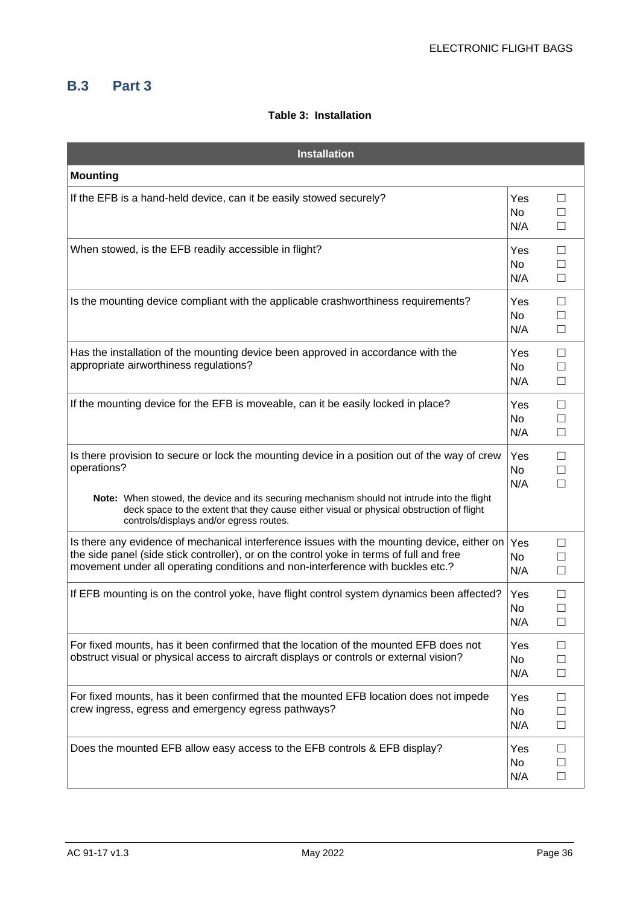#### **B.3 Part 3**

#### **Table 3: Installation**

| <b>Installation</b>                                                                                                                                                                                                                                                                                                                                |                         |                             |
|----------------------------------------------------------------------------------------------------------------------------------------------------------------------------------------------------------------------------------------------------------------------------------------------------------------------------------------------------|-------------------------|-----------------------------|
| <b>Mounting</b>                                                                                                                                                                                                                                                                                                                                    |                         |                             |
| If the EFB is a hand-held device, can it be easily stowed securely?                                                                                                                                                                                                                                                                                | Yes<br>No<br>N/A        | П<br>$\Box$                 |
| When stowed, is the EFB readily accessible in flight?                                                                                                                                                                                                                                                                                              | Yes<br>No<br>N/A        | $\Box$<br>$\Box$<br>$\Box$  |
| Is the mounting device compliant with the applicable crashworthiness requirements?                                                                                                                                                                                                                                                                 | Yes<br>No<br>N/A        | $\Box$<br>$\Box$<br>П       |
| Has the installation of the mounting device been approved in accordance with the<br>appropriate airworthiness regulations?                                                                                                                                                                                                                         | Yes<br><b>No</b><br>N/A | $\Box$<br>$\Box$            |
| If the mounting device for the EFB is moveable, can it be easily locked in place?                                                                                                                                                                                                                                                                  | Yes<br>No<br>N/A        | $\Box$<br>$\Box$<br>$\Box$  |
| Is there provision to secure or lock the mounting device in a position out of the way of crew<br>operations?<br>Note: When stowed, the device and its securing mechanism should not intrude into the flight<br>deck space to the extent that they cause either visual or physical obstruction of flight<br>controls/displays and/or egress routes. | Yes<br>No<br>N/A        | $\Box$<br>$\Box$            |
| Is there any evidence of mechanical interference issues with the mounting device, either on<br>the side panel (side stick controller), or on the control yoke in terms of full and free<br>movement under all operating conditions and non-interference with buckles etc.?                                                                         | Yes<br>No<br>N/A        | $\mathsf{L}$<br>П<br>$\Box$ |
| If EFB mounting is on the control yoke, have flight control system dynamics been affected?                                                                                                                                                                                                                                                         | Yes<br>No<br>N/A        | П<br>П                      |
| For fixed mounts, has it been confirmed that the location of the mounted EFB does not<br>obstruct visual or physical access to aircraft displays or controls or external vision?                                                                                                                                                                   | Yes<br>No<br>N/A        | □<br>$\Box$<br>$\Box$       |
| For fixed mounts, has it been confirmed that the mounted EFB location does not impede<br>crew ingress, egress and emergency egress pathways?                                                                                                                                                                                                       | Yes<br>No<br>N/A        | $\Box$<br>$\Box$<br>$\Box$  |
| Does the mounted EFB allow easy access to the EFB controls & EFB display?                                                                                                                                                                                                                                                                          | Yes<br>No<br>N/A        | $\Box$<br>$\Box$<br>$\Box$  |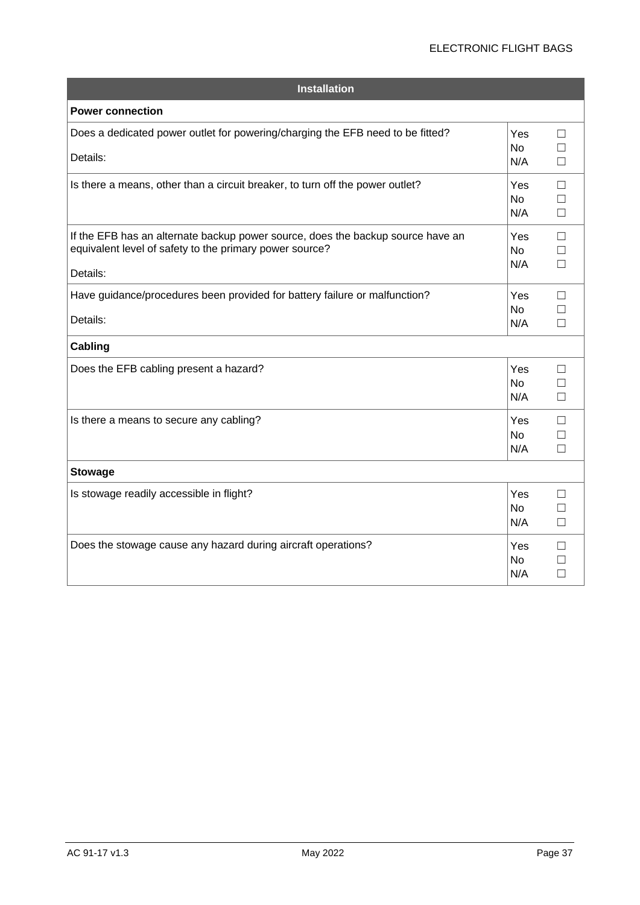#### ELECTRONIC FLIGHT BAGS

| <b>Installation</b>                                                                                                                                    |                         |                            |
|--------------------------------------------------------------------------------------------------------------------------------------------------------|-------------------------|----------------------------|
| <b>Power connection</b>                                                                                                                                |                         |                            |
| Does a dedicated power outlet for powering/charging the EFB need to be fitted?<br>Details:                                                             | Yes<br><b>No</b><br>N/A | П<br>П<br>$\Box$           |
| Is there a means, other than a circuit breaker, to turn off the power outlet?                                                                          | Yes<br><b>No</b><br>N/A | $\Box$<br>$\Box$<br>$\Box$ |
| If the EFB has an alternate backup power source, does the backup source have an<br>equivalent level of safety to the primary power source?<br>Details: | Yes<br><b>No</b><br>N/A | $\Box$<br>П<br>П           |
| Have guidance/procedures been provided for battery failure or malfunction?<br>Details:                                                                 | Yes<br><b>No</b><br>N/A | П<br>П<br>П                |
| <b>Cabling</b>                                                                                                                                         |                         |                            |
| Does the EFB cabling present a hazard?                                                                                                                 | Yes<br><b>No</b><br>N/A | П<br>П<br>П                |
| Is there a means to secure any cabling?                                                                                                                | Yes<br><b>No</b><br>N/A | П<br>П<br>П                |
| <b>Stowage</b>                                                                                                                                         |                         |                            |
| Is stowage readily accessible in flight?                                                                                                               | Yes<br><b>No</b><br>N/A | П<br>П<br>$\Box$           |
| Does the stowage cause any hazard during aircraft operations?                                                                                          | Yes<br><b>No</b><br>N/A | П<br>П<br>П                |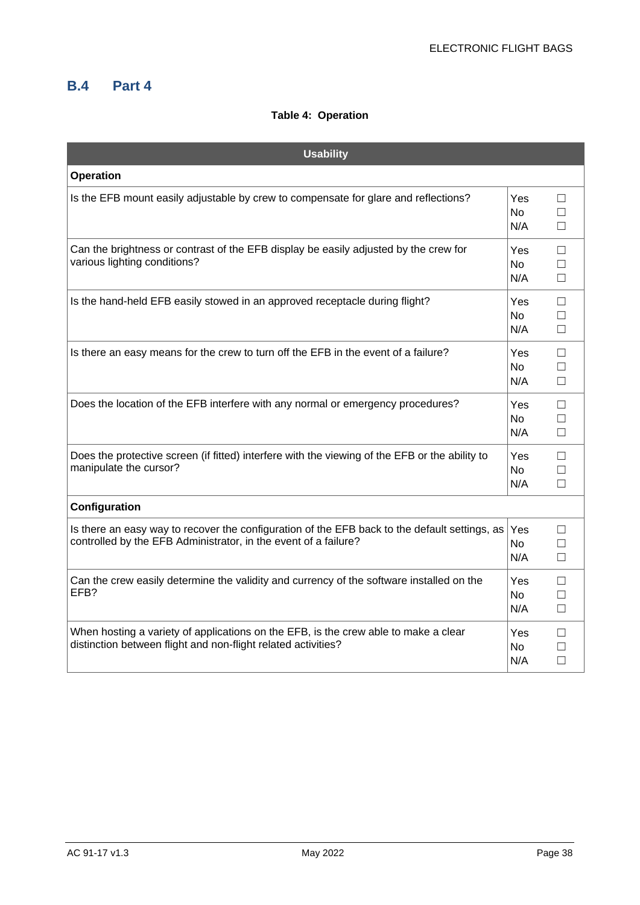#### **B.4 Part 4**

#### **Table 4: Operation**

| <b>Usability</b>                                                                                                                                                 |                          |                            |
|------------------------------------------------------------------------------------------------------------------------------------------------------------------|--------------------------|----------------------------|
| <b>Operation</b>                                                                                                                                                 |                          |                            |
| Is the EFB mount easily adjustable by crew to compensate for glare and reflections?                                                                              | Yes.<br><b>No</b><br>N/A | П<br>П<br>П                |
| Can the brightness or contrast of the EFB display be easily adjusted by the crew for<br>various lighting conditions?                                             | Yes<br><b>No</b><br>N/A  | $\Box$<br>П<br>$\Box$      |
| Is the hand-held EFB easily stowed in an approved receptacle during flight?                                                                                      | Yes<br><b>No</b><br>N/A  | $\Box$<br>$\Box$<br>$\Box$ |
| Is there an easy means for the crew to turn off the EFB in the event of a failure?                                                                               | Yes<br>No<br>N/A         | $\Box$<br>$\Box$<br>$\Box$ |
| Does the location of the EFB interfere with any normal or emergency procedures?                                                                                  | Yes<br>No.<br>N/A        | $\Box$<br>П<br>$\Box$      |
| Does the protective screen (if fitted) interfere with the viewing of the EFB or the ability to<br>manipulate the cursor?                                         | Yes<br><b>No</b><br>N/A  | $\Box$<br>$\Box$<br>$\Box$ |
| Configuration                                                                                                                                                    |                          |                            |
| Is there an easy way to recover the configuration of the EFB back to the default settings, as<br>controlled by the EFB Administrator, in the event of a failure? | Yes<br><b>No</b><br>N/A  | $\Box$<br>П<br>$\Box$      |
| Can the crew easily determine the validity and currency of the software installed on the<br>EFB?                                                                 | Yes.<br><b>No</b><br>N/A | $\Box$<br>П<br>$\Box$      |
| When hosting a variety of applications on the EFB, is the crew able to make a clear<br>distinction between flight and non-flight related activities?             | Yes<br>No.<br>N/A        | П<br>П<br>$\Box$           |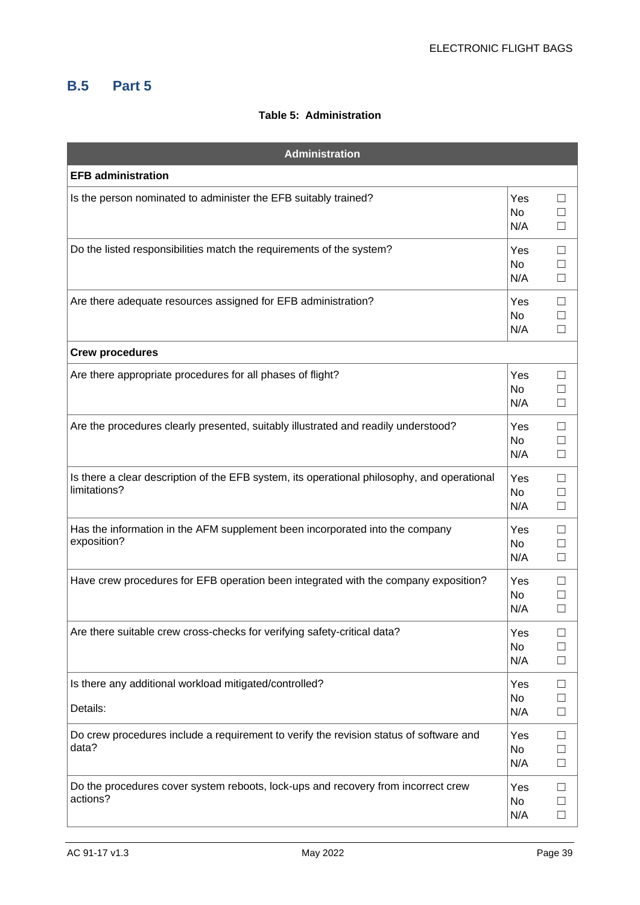#### **B.5 Part 5**

#### **Table 5: Administration**

| <b>Administration</b>                                                                                       |                         |                                              |
|-------------------------------------------------------------------------------------------------------------|-------------------------|----------------------------------------------|
| <b>EFB administration</b>                                                                                   |                         |                                              |
| Is the person nominated to administer the EFB suitably trained?                                             | Yes<br>No.<br>N/A       | ப<br>$\Box$<br>$\Box$                        |
| Do the listed responsibilities match the requirements of the system?                                        | Yes<br>No<br>N/A        | □<br>П<br>$\Box$                             |
| Are there adequate resources assigned for EFB administration?                                               | Yes<br>No<br>N/A        | □<br>$\Box$<br>$\Box$                        |
| <b>Crew procedures</b>                                                                                      |                         |                                              |
| Are there appropriate procedures for all phases of flight?                                                  | Yes<br><b>No</b><br>N/A | □                                            |
| Are the procedures clearly presented, suitably illustrated and readily understood?                          | Yes<br>No<br>N/A        | $\Box$<br>$\overline{\phantom{a}}$<br>$\Box$ |
| Is there a clear description of the EFB system, its operational philosophy, and operational<br>limitations? | Yes<br>No<br>N/A        | $\Box$<br>$\Box$<br>$\Box$                   |
| Has the information in the AFM supplement been incorporated into the company<br>exposition?                 | Yes<br>No<br>N/A        | П<br>$\Box$                                  |
| Have crew procedures for EFB operation been integrated with the company exposition?                         | Yes<br>No<br>N/A        | $\Box$<br>П                                  |
| Are there suitable crew cross-checks for verifying safety-critical data?                                    | Yes<br>No<br>N/A        | $\Box$                                       |
| Is there any additional workload mitigated/controlled?                                                      | Yes                     | □                                            |
| Details:                                                                                                    | No<br>N/A               | $\Box$                                       |
| Do crew procedures include a requirement to verify the revision status of software and<br>data?             | Yes<br>No<br>N/A        | $\Box$<br>$\Box$                             |
| Do the procedures cover system reboots, lock-ups and recovery from incorrect crew<br>actions?               | Yes<br>No<br>N/A        | $\Box$<br>$\Box$                             |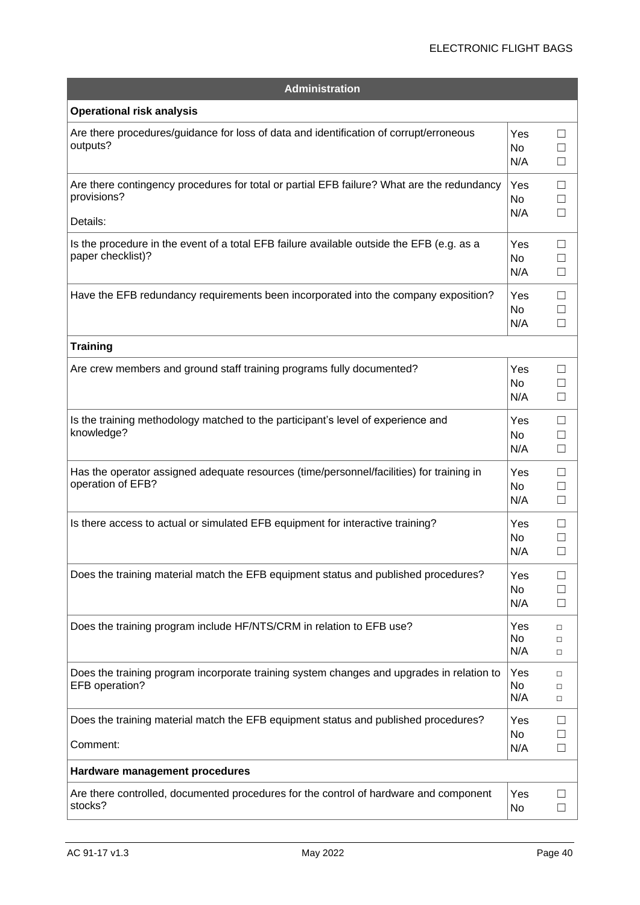#### ELECTRONIC FLIGHT BAGS

| <b>Administration</b>                                                                                          |                              |                                        |
|----------------------------------------------------------------------------------------------------------------|------------------------------|----------------------------------------|
| <b>Operational risk analysis</b>                                                                               |                              |                                        |
| Are there procedures/guidance for loss of data and identification of corrupt/erroneous<br>outputs?             | Yes<br><b>No</b><br>N/A      | Ш<br>П<br>П                            |
| Are there contingency procedures for total or partial EFB failure? What are the redundancy<br>provisions?      | Yes<br><b>No</b><br>N/A      | Ш<br>□<br>П                            |
| Details:                                                                                                       |                              |                                        |
| Is the procedure in the event of a total EFB failure available outside the EFB (e.g. as a<br>paper checklist)? | Yes<br><b>No</b><br>N/A      | $\mathsf{L}$<br>$\Box$<br>П            |
| Have the EFB redundancy requirements been incorporated into the company exposition?                            | Yes<br>No<br>N/A             | $\perp$<br>$\Box$<br>□                 |
| <b>Training</b>                                                                                                |                              |                                        |
| Are crew members and ground staff training programs fully documented?                                          | Yes<br><b>No</b><br>N/A      | $\blacksquare$<br>$\mathsf{L}$<br>П    |
| Is the training methodology matched to the participant's level of experience and<br>knowledge?                 | Yes<br>N <sub>o</sub><br>N/A | $\mathsf{L}$<br>П<br>□                 |
| Has the operator assigned adequate resources (time/personnel/facilities) for training in<br>operation of EFB?  | Yes<br><b>No</b><br>N/A      | $\mathsf{L}$<br>$\vert \ \ \vert$<br>□ |
| Is there access to actual or simulated EFB equipment for interactive training?                                 | Yes<br>No.<br>N/A            | $\blacksquare$                         |
| Does the training material match the EFB equipment status and published procedures?                            | Yes<br>No<br>N/A             | $\mathsf{L}$                           |
| Does the training program include HF/NTS/CRM in relation to EFB use?                                           | Yes<br><b>No</b><br>N/A      | $\Box$<br>$\Box$<br>$\Box$             |
| Does the training program incorporate training system changes and upgrades in relation to<br>EFB operation?    | Yes<br>No.<br>N/A            | □<br>□<br>$\Box$                       |
| Does the training material match the EFB equipment status and published procedures?<br>Comment:                | Yes<br><b>No</b><br>N/A      | H<br>П                                 |
| Hardware management procedures                                                                                 |                              |                                        |
| Are there controlled, documented procedures for the control of hardware and component<br>stocks?               | Yes<br><b>No</b>             |                                        |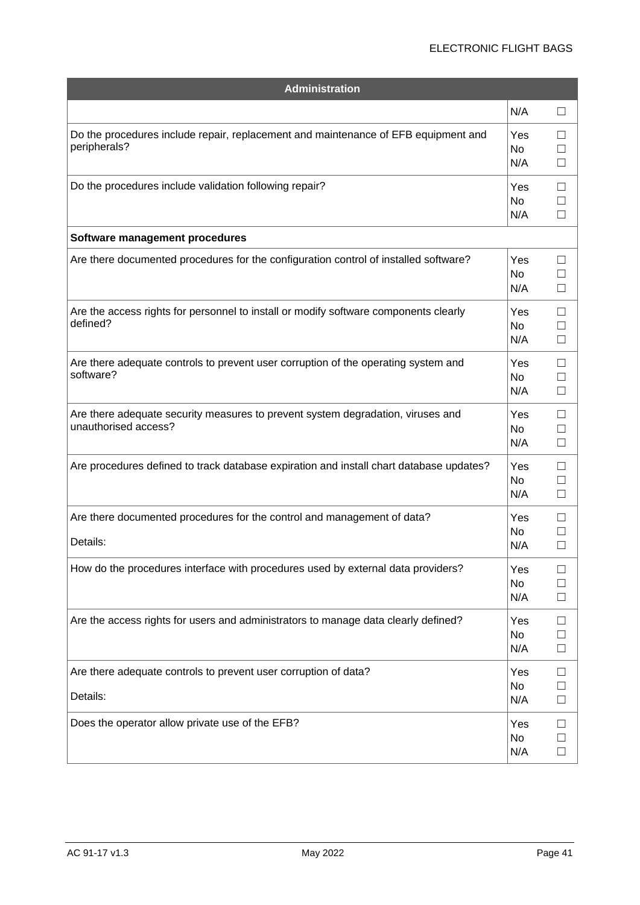#### ELECTRONIC FLIGHT BAGS

| <b>Administration</b>                                                                                   |                         |                                          |
|---------------------------------------------------------------------------------------------------------|-------------------------|------------------------------------------|
|                                                                                                         | N/A                     | $\Box$                                   |
| Do the procedures include repair, replacement and maintenance of EFB equipment and<br>peripherals?      | Yes<br>No<br>N/A        | □                                        |
| Do the procedures include validation following repair?                                                  | Yes<br>No<br>N/A        | $\mathsf{L}$<br>П                        |
| Software management procedures                                                                          |                         |                                          |
| Are there documented procedures for the configuration control of installed software?                    | Yes<br><b>No</b><br>N/A | $\mathsf{L}$<br>$\Box$                   |
| Are the access rights for personnel to install or modify software components clearly<br>defined?        | Yes<br><b>No</b><br>N/A | $\mathsf{L}$<br>$\mathsf{L}$<br>$\sqcup$ |
| Are there adequate controls to prevent user corruption of the operating system and<br>software?         | Yes<br><b>No</b><br>N/A | $\mathsf{L}$<br>$\mathsf{L}$<br>□        |
| Are there adequate security measures to prevent system degradation, viruses and<br>unauthorised access? | Yes<br><b>No</b><br>N/A | $\vert \ \ \vert$<br>$\Box$<br>□         |
| Are procedures defined to track database expiration and install chart database updates?                 | Yes<br><b>No</b><br>N/A | $\mathsf{L}$<br>$\Box$<br>□              |
| Are there documented procedures for the control and management of data?<br>Details:                     | Yes<br><b>No</b><br>N/A | $\vert \ \ \vert$<br>П                   |
| How do the procedures interface with procedures used by external data providers?                        | Yes<br><b>No</b><br>N/A | $\mathsf{L}$<br>$\blacksquare$<br>$\Box$ |
| Are the access rights for users and administrators to manage data clearly defined?                      | Yes<br><b>No</b><br>N/A | □<br>$\Box$<br>$\Box$                    |
| Are there adequate controls to prevent user corruption of data?<br>Details:                             | Yes<br><b>No</b><br>N/A | □<br>$\Box$<br>$\Box$                    |
| Does the operator allow private use of the EFB?                                                         | Yes<br><b>No</b><br>N/A | $\Box$<br>$\Box$<br>$\Box$               |